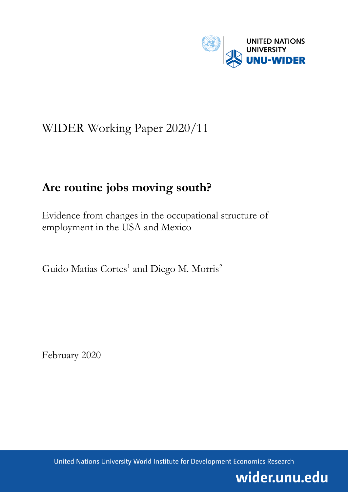

# WIDER Working Paper 2020/11

# **Are routine jobs moving south?**

Evidence from changes in the occupational structure of employment in the USA and Mexico

Guido Matias Cortes<sup>1</sup> and Diego M. Morris<sup>2</sup>

February 2020

United Nations University World Institute for Development Economics Research

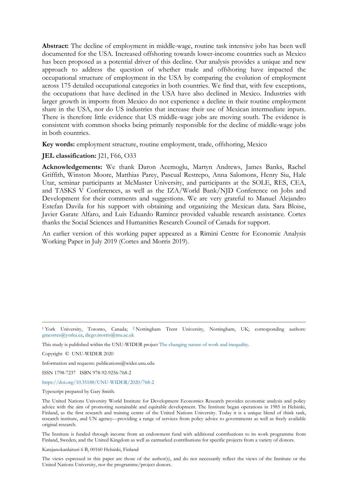**Abstract:** The decline of employment in middle-wage, routine task intensive jobs has been well documented for the USA. Increased offshoring towards lower-income countries such as Mexico has been proposed as a potential driver of this decline. Our analysis provides a unique and new approach to address the question of whether trade and offshoring have impacted the occupational structure of employment in the USA by comparing the evolution of employment across 175 detailed occupational categories in both countries. We find that, with few exceptions, the occupations that have declined in the USA have also declined in Mexico. Industries with larger growth in imports from Mexico do not experience a decline in their routine employment share in the USA, nor do US industries that increase their use of Mexican intermediate inputs. There is therefore little evidence that US middle-wage jobs are moving south. The evidence is consistent with common shocks being primarily responsible for the decline of middle-wage jobs in both countries.

**Key words:** employment structure, routine employment, trade, offshoring, Mexico

#### **JEL classification:** [21, F66, O33]

**Acknowledgements:** We thank Daron Acemoglu, Martyn Andrews, James Banks, Rachel Griffith, Winston Moore, Matthias Parey, Pascual Restrepo, Anna Salomons, Henry Siu, Hale Utar, seminar participants at McMaster University, and participants at the SOLE, RES, CEA, and TASKS V Conferences, as well as the IZA/World Bank/NJD Conference on Jobs and Development for their comments and suggestions. We are very grateful to Manuel Alejandro Estefan Davila for his support with obtaining and organizing the Mexican data. Sara Bloise, Javier Garate Alfaro, and Luis Eduardo Ramirez provided valuable research assistance. Cortes thanks the Social Sciences and Humanities Research Council of Canada for support.

An earlier version of this working paper appeared as a Rimini Centre for Economic Analysis Working Paper in July 2019 (Cortes and Morris 2019).

Copyright © UNU-WIDER 2020

Information and requests: publications@wider.unu.edu

ISSN 1798-7237 ISBN 978-92-9256-768-2

<https://doi.org/10.35188/UNU-WIDER/2020/768-2>

Typescript prepared by Gary Smith.

The United Nations University World Institute for Development Economics Research provides economic analysis and policy advice with the aim of promoting sustainable and equitable development. The Institute began operations in 1985 in Helsinki, Finland, as the first research and training centre of the United Nations University. Today it is a unique blend of think tank, research institute, and UN agency—providing a range of services from policy advice to governments as well as freely available original research.

The Institute is funded through income from an endowment fund with additional contributions to its work programme from Finland, Sweden, and the United Kingdom as well as earmarked contributions for specific projects from a variety of donors.

Katajanokanlaituri 6 B, 00160 Helsinki, Finland

The views expressed in this paper are those of the author(s), and do not necessarily reflect the views of the Institute or the United Nations University, nor the programme/project donors.

<sup>1</sup> York University, Toronto, Canada; 2 Nottingham Trent University, Nottingham, UK; corresponding authors: gmcortes@yorku.ca, diego.morris@ntu.ac.uk

This study is published within the UNU-WIDER projec[t The changing nature of work and inequality.](https://www.wider.unu.edu/node/236799)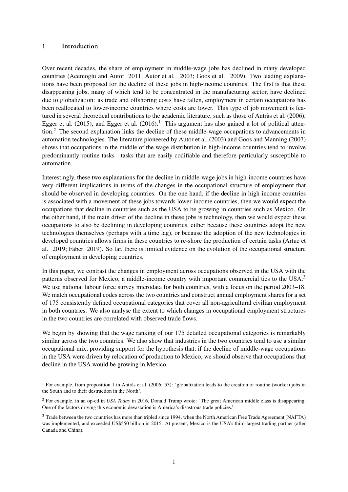#### <span id="page-2-0"></span>1 Introduction

Over recent decades, the share of employment in middle-wage jobs has declined in many developed countries [\(Acemoglu and Autor](#page-25-0) [2011;](#page-25-0) [Autor et al.](#page-26-0) [2003;](#page-26-0) [Goos et al.](#page-27-0) [2009\)](#page-27-0). Two leading explanations have been proposed for the decline of these jobs in high-income countries. The first is that these disappearing jobs, many of which tend to be concentrated in the manufacturing sector, have declined due to globalization: as trade and offshoring costs have fallen, employment in certain occupations has been reallocated to lower-income countries where costs are lower. This type of job movement is featured in several theoretical contributions to the academic literature, such as those of [Antràs et al.](#page-25-1) [\(2006\)](#page-25-1), [Egger et al.](#page-27-1) [\(2015\)](#page-26-1), and Egger et al. [\(2016\)](#page-27-1).<sup>1</sup> This argument has also gained a lot of political attention.<sup>2</sup> The second explanation links the decline of these middle-wage occupations to advancements in automation technologies. The literature pioneered by [Autor et al.](#page-26-0) [\(2003\)](#page-26-0) and [Goos and Manning](#page-27-2) [\(2007\)](#page-27-2) shows that occupations in the middle of the wage distribution in high-income countries tend to involve predominantly routine tasks—tasks that are easily codifiable and therefore particularly susceptible to automation.

Interestingly, these two explanations for the decline in middle-wage jobs in high-income countries have very different implications in terms of the changes in the occupational structure of employment that should be observed in developing countries. On the one hand, if the decline in high-income countries is associated with a movement of these jobs towards lower-income countries, then we would expect the occupations that decline in countries such as the USA to be growing in countries such as Mexico. On the other hand, if the main driver of the decline in these jobs is technology, then we would expect these occupations to also be declining in developing countries, either because these countries adopt the new technologies themselves (perhaps with a time lag), or because the adoption of the new technologies in developed countries allows firms in these countries to re-shore the production of certain tasks [\(Artuc et](#page-26-2) [al.](#page-26-2) [2019;](#page-26-2) [Faber](#page-27-3) [2019\)](#page-27-3). So far, there is limited evidence on the evolution of the occupational structure of employment in developing countries.

In this paper, we contrast the changes in employment across occupations observed in the USA with the patterns observed for Mexico, a middle-income country with important commercial ties to the USA.<sup>3</sup> We use national labour force survey microdata for both countries, with a focus on the period 2003–18. We match occupational codes across the two countries and construct annual employment shares for a set of 175 consistently defined occupational categories that cover all non-agricultural civilian employment in both countries. We also analyse the extent to which changes in occupational employment structures in the two countries are correlated with observed trade flows.

We begin by showing that the wage ranking of our 175 detailed occupational categories is remarkably similar across the two countries. We also show that industries in the two countries tend to use a similar occupational mix, providing support for the hypothesis that, if the decline of middle-wage occupations in the USA were driven by relocation of production to Mexico, we should observe that occupations that decline in the USA would be growing in Mexico.

<sup>&</sup>lt;sup>1</sup> For example, from proposition 1 in [Antràs et al.](#page-25-1) [\(2006:](#page-25-1) 53): 'globalization leads to the creation of routine (worker) jobs in the South and to their destruction in the North'.

<sup>2</sup> For example, in an op-ed in *USA Today* in 2016, Donald Trump wrote: 'The great American middle class is disappearing. One of the factors driving this economic devastation is America's disastrous trade policies.'

<sup>3</sup> Trade between the two countries has more than tripled since 1994, when the North American Free Trade Agreement (NAFTA) was implemented, and exceeded US\$550 billion in 2015. At present, Mexico is the USA's third-largest trading partner (after Canada and China).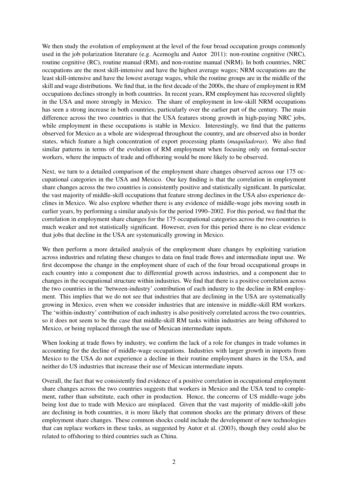We then study the evolution of employment at the level of the four broad occupation groups commonly used in the job polarization literature (e.g. [Acemoglu and Autor](#page-25-0) [2011\)](#page-25-0): non-routine cognitive (NRC), routine cognitive (RC), routine manual (RM), and non-routine manual (NRM). In both countries, NRC occupations are the most skill-intensive and have the highest average wages; NRM occupations are the least skill-intensive and have the lowest average wages, while the routine groups are in the middle of the skill and wage distributions. We find that, in the first decade of the 2000s, the share of employment in RM occupations declines strongly in both countries. In recent years, RM employment has recovered slightly in the USA and more strongly in Mexico. The share of employment in low-skill NRM occupations has seen a strong increase in both countries, particularly over the earlier part of the century. The main difference across the two countries is that the USA features strong growth in high-paying NRC jobs, while employment in these occupations is stable in Mexico. Interestingly, we find that the patterns observed for Mexico as a whole are widespread throughout the country, and are observed also in border states, which feature a high concentration of export processing plants (*maquiladoras*). We also find similar patterns in terms of the evolution of RM employment when focusing only on formal-sector workers, where the impacts of trade and offshoring would be more likely to be observed.

Next, we turn to a detailed comparison of the employment share changes observed across our 175 occupational categories in the USA and Mexico. Our key finding is that the correlation in employment share changes across the two countries is consistently positive and statistically significant. In particular, the vast majority of middle-skill occupations that feature strong declines in the USA also experience declines in Mexico. We also explore whether there is any evidence of middle-wage jobs moving south in earlier years, by performing a similar analysis for the period 1990–2002. For this period, we find that the correlation in employment share changes for the 175 occupational categories across the two countries is much weaker and not statistically significant. However, even for this period there is no clear evidence that jobs that decline in the USA are systematically growing in Mexico.

We then perform a more detailed analysis of the employment share changes by exploiting variation across industries and relating these changes to data on final trade flows and intermediate input use. We first decompose the change in the employment share of each of the four broad occupational groups in each country into a component due to differential growth across industries, and a component due to changes in the occupational structure within industries. We find that there is a positive correlation across the two countries in the 'between-industry' contribution of each industry to the decline in RM employment. This implies that we do not see that industries that are declining in the USA are systematically growing in Mexico, even when we consider industries that are intensive in middle-skill RM workers. The 'within-industry' contribution of each industry is also positively correlated across the two countries, so it does not seem to be the case that middle-skill RM tasks within industries are being offshored to Mexico, or being replaced through the use of Mexican intermediate inputs.

When looking at trade flows by industry, we confirm the lack of a role for changes in trade volumes in accounting for the decline of middle-wage occupations. Industries with larger growth in imports from Mexico to the USA do not experience a decline in their routine employment shares in the USA, and neither do US industries that increase their use of Mexican intermediate inputs.

Overall, the fact that we consistently find evidence of a positive correlation in occupational employment share changes across the two countries suggests that workers in Mexico and the USA tend to complement, rather than substitute, each other in production. Hence, the concerns of US middle-wage jobs being lost due to trade with Mexico are misplaced. Given that the vast majority of middle-skill jobs are declining in both countries, it is more likely that common shocks are the primary drivers of these employment share changes. These common shocks could include the development of new technologies that can replace workers in these tasks, as suggested by [Autor et al.](#page-26-0) [\(2003\)](#page-26-0), though they could also be related to offshoring to third countries such as China.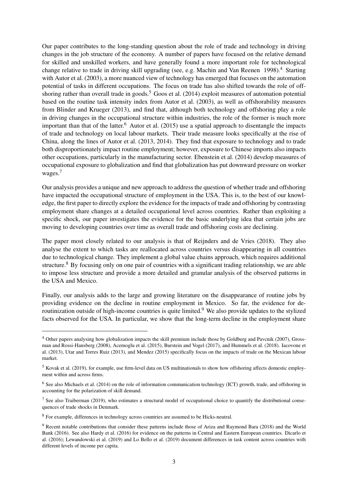Our paper contributes to the long-standing question about the role of trade and technology in driving changes in the job structure of the economy. A number of papers have focused on the relative demand for skilled and unskilled workers, and have generally found a more important role for technological change relative to trade in driving skill upgrading (see, e.g. [Machin and Van Reenen](#page-27-4) [1998\)](#page-27-4).<sup>[4](#page-2-0)</sup> Starting with [Autor et al.](#page-26-0) [\(2003\)](#page-26-0), a more nuanced view of technology has emerged that focuses on the automation potential of tasks in different occupations. The focus on trade has also shifted towards the role of off-shoring rather than overall trade in goods.<sup>[5](#page-2-0)</sup> [Goos et al.](#page-27-5) [\(2014\)](#page-27-5) exploit measures of automation potential based on the routine task intensity index from [Autor et al.](#page-26-0) [\(2003\)](#page-26-0), as well as offshorability measures from [Blinder and Krueger](#page-26-3) [\(2013\)](#page-26-3), and find that, although both technology and offshoring play a role in driving changes in the occupational structure within industries, the role of the former is much more important than that of the latter.<sup>[6](#page-2-0)</sup> [Autor et al.](#page-26-4) [\(2015\)](#page-26-4) use a spatial approach to disentangle the impacts of trade and technology on local labour markets. Their trade measure looks specifically at the rise of China, along the lines of [Autor et al.](#page-26-5) [\(2013,](#page-26-5) [2014\)](#page-26-6). They find that exposure to technology and to trade both disproportionately impact routine employment; however, exposure to Chinese imports also impacts other occupations, particularly in the manufacturing sector. [Ebenstein et al.](#page-26-7) [\(2014\)](#page-26-7) develop measures of occupational exposure to globalization and find that globalization has put downward pressure on worker wages.<sup>[7](#page-2-0)</sup>

Our analysis provides a unique and new approach to address the question of whether trade and offshoring have impacted the occupational structure of employment in the USA. This is, to the best of our knowledge, the first paper to directly explore the evidence for the impacts of trade and offshoring by contrasting employment share changes at a detailed occupational level across countries. Rather than exploiting a specific shock, our paper investigates the evidence for the basic underlying idea that certain jobs are moving to developing countries over time as overall trade and offshoring costs are declining.

The paper most closely related to our analysis is that of [Reijnders and de Vries](#page-28-0) [\(2018\)](#page-28-0). They also analyse the extent to which tasks are reallocated across countries versus disappearing in all countries due to technological change. They implement a global value chains approach, which requires additional structure.<sup>[8](#page-2-0)</sup> By focusing only on one pair of countries with a significant trading relationship, we are able to impose less structure and provide a more detailed and granular analysis of the observed patterns in the USA and Mexico.

Finally, our analysis adds to the large and growing literature on the disappearance of routine jobs by providing evidence on the decline in routine employment in Mexico. So far, the evidence for de-routinization outside of high-income countries is quite limited.<sup>[9](#page-2-0)</sup> We also provide updates to the stylized facts observed for the USA. In particular, we show that the long-term decline in the employment share

<sup>&</sup>lt;sup>4</sup> Other papers analysing how globalization impacts the skill premium include those by [Goldberg and Pavcnik](#page-27-6) [\(2007\)](#page-27-6), [Gross](#page-27-7)[man and Rossi-Hansberg](#page-27-7) [\(2008\)](#page-27-7), [Acemoglu et al.](#page-25-2) [\(2015\)](#page-25-2), [Burstein and Vogel](#page-26-8) [\(2017\)](#page-26-8), and [Hummels et al.](#page-27-8) [\(2018\)](#page-27-8). [Iacovone et](#page-27-9) [al.](#page-27-9) [\(2013\)](#page-27-9), [Utar and Torres Ruiz](#page-28-1) [\(2013\)](#page-28-1), and [Mendez](#page-28-2) [\(2015\)](#page-28-2) specifically focus on the impacts of trade on the Mexican labour market.

 $<sup>5</sup>$  [Kovak et al.](#page-27-10) [\(2019\)](#page-27-10), for example, use firm-level data on US multinationals to show how offshoring affects domestic employ-</sup> ment within and across firms.

 $<sup>6</sup>$  See also [Michaels et al.](#page-28-3) [\(2014\)](#page-28-3) on the role of information communication technology (ICT) growth, trade, and offshoring in</sup> accounting for the polarization of skill demand.

<sup>&</sup>lt;sup>7</sup> See also [Traiberman](#page-28-4) [\(2019\)](#page-28-4), who estimates a structural model of occupational choice to quantify the distributional consequences of trade shocks in Denmark.

<sup>8</sup> For example, differences in technology across countries are assumed to be Hicks-neutral.

<sup>9</sup> Recent notable contributions that consider these patterns include those of [Ariza and Raymond Bara](#page-25-3) [\(2018\)](#page-25-3) and the [World](#page-28-5) [Bank](#page-28-5) [\(2016\)](#page-28-5). See also [Hardy et al.](#page-27-11) [\(2016\)](#page-27-11) for evidence on the patterns in Central and Eastern European countries. [Dicarlo et](#page-26-9) [al.](#page-26-9) [\(2016\)](#page-26-9); [Lewandowski et al.](#page-27-12) [\(2019\)](#page-27-12) and [Lo Bello et al.](#page-27-13) [\(2019\)](#page-27-13) document differences in task content across countries with different levels of income per capita.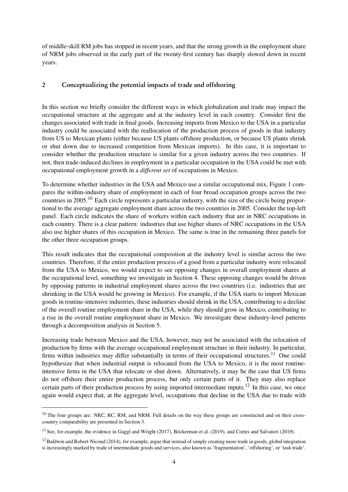of middle-skill RM jobs has stopped in recent years, and that the strong growth in the employment share of NRM jobs observed in the early part of the twenty-first century has sharply slowed down in recent years.

#### <span id="page-5-0"></span>2 Conceptualizing the potential impacts of trade and offshoring

In this section we briefly consider the different ways in which globalization and trade may impact the occupational structure at the aggregate and at the industry level in each country. Consider first the changes associated with trade in final goods. Increasing imports from Mexico to the USA in a particular industry could be associated with the reallocation of the production process of goods in that industry from US to Mexican plants (either because US plants offshore production, or because US plants shrink or shut down due to increased competition from Mexican imports). In this case, it is important to consider whether the production structure is similar for a given industry across the two countries. If not, then trade-induced declines in employment in a particular occupation in the USA could be met with occupational employment growth in a *different set* of occupations in Mexico.

To determine whether industries in the USA and Mexico use a similar occupational mix, Figure [1](#page-6-0) compares the within-industry share of employment in each of four broad occupation groups across the two countries in 2005.[10](#page-2-0) Each circle represents a particular industry, with the size of the circle being proportional to the average aggregate employment share across the two countries in 2005. Consider the top-left panel. Each circle indicates the share of workers within each industry that are in NRC occupations in each country. There is a clear pattern: industries that use higher shares of NRC occupations in the USA also use higher shares of this occupation in Mexico. The same is true in the remaining three panels for the other three occupation groups.

This result indicates that the occupational composition at the industry level is similar across the two countries. Therefore, if the entire production process of a good from a particular industry were relocated from the USA to Mexico, we would expect to see opposing changes in overall employment shares at the occupational level, something we investigate in Section [4.](#page-11-0) These opposing changes would be driven by opposing patterns in industrial employment shares across the two countries (i.e. industries that are shrinking in the USA would be growing in Mexico). For example, if the USA starts to import Mexican goods in routine-intensive industries, these industries should shrink in the USA, contributing to a decline of the overall routine employment share in the USA, while they should grow in Mexico, contributing to a rise in the overall routine employment share in Mexico. We investigate these industry-level patterns through a decomposition analysis in Section [5.](#page-16-0)

Increasing trade between Mexico and the USA, however, may not be associated with the relocation of production by firms with the average occupational employment structure in their industry. In particular, firms within industries may differ substantially in terms of their occupational structures.<sup>[11](#page-2-0)</sup> One could hypothesize that when industrial output is relocated from the USA to Mexico, it is the most routineintensive firms in the USA that relocate or shut down. Alternatively, it may be the case that US firms do not offshore their entire production process, but only certain parts of it. They may also replace certain parts of their production process by using imported intermediate inputs.<sup>[12](#page-2-0)</sup> In this case, we once again would expect that, at the aggregate level, occupations that decline in the USA due to trade with

<sup>&</sup>lt;sup>10</sup> The four groups are: NRC, RC, RM, and NRM. Full details on the way these groups are constructed and on their crosscountry comparability are presented in Section [3.](#page-6-1)

<sup>&</sup>lt;sup>11</sup> See, for example, the evidence in [Gaggl and Wright](#page-27-14) [\(2017\)](#page-27-14), [Böckerman et al.](#page-26-10) [\(2019\)](#page-26-11), and [Cortes and Salvatori](#page-26-11) (2019).

<sup>&</sup>lt;sup>12</sup>[Baldwin and Robert-Nicoud](#page-26-12) [\(2014\)](#page-26-12), for example, argue that instead of simply creating more trade in goods, global integration is increasingly marked by trade of intermediate goods and services, also known as 'fragmentation', 'offshoring', or 'task trade'.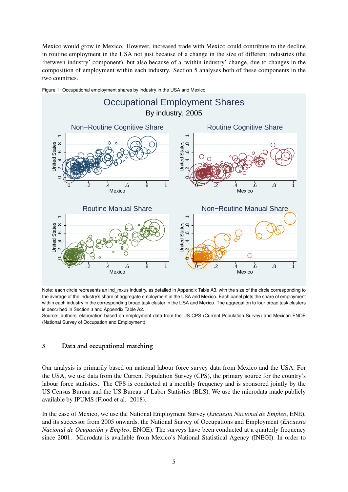Mexico would grow in Mexico. However, increased trade with Mexico could contribute to the decline in routine employment in the USA not just because of a change in the size of different industries (the 'between-industry' component), but also because of a 'within-industry' change, due to changes in the composition of employment within each industry. Section [5](#page-16-0) analyses both of these components in the two countries.



<span id="page-6-0"></span>Figure 1: Occupational employment shares by industry in the USA and Mexico

Note: each circle represents an ind\_mxus industry, as detailed in Appendix Table [A3,](#page-37-0) with the size of the circle corresponding to the average of the industry's share of aggregate employment in the USA and Mexico. Each panel plots the share of employment within each industry in the corresponding broad task cluster in the USA and Mexico. The aggregation to four broad task clusters is described in Section [3](#page-6-1) and Appendix Table [A2.](#page-36-0)

<span id="page-6-1"></span>Source: authors' elaboration based on employment data from the US CPS (Current Population Survey) and Mexican ENOE (National Survey of Occupation and Employment).

#### 3 Data and occupational matching

Our analysis is primarily based on national labour force survey data from Mexico and the USA. For the USA, we use data from the Current Population Survey (CPS), the primary source for the country's labour force statistics. The CPS is conducted at a monthly frequency and is sponsored jointly by the US Census Bureau and the US Bureau of Labor Statistics (BLS). We use the microdata made publicly available by IPUMS [\(Flood et al.](#page-27-15) [2018\)](#page-27-15).

In the case of Mexico, we use the National Employment Survey (*Encuesta Nacional de Empleo*, ENE), and its successor from 2005 onwards, the National Survey of Occupations and Employment (*Encuesta Nacional de Ocupación y Empleo*, ENOE). The surveys have been conducted at a quarterly frequency since 2001. Microdata is available from Mexico's National Statistical Agency (INEGI). In order to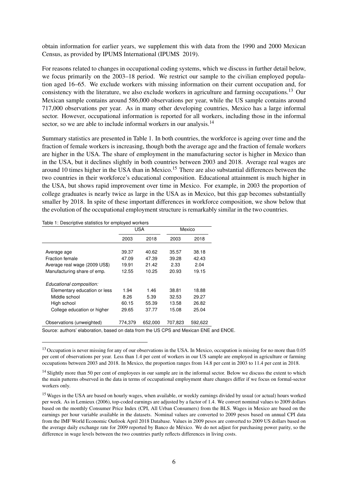obtain information for earlier years, we supplement this with data from the 1990 and 2000 Mexican Census, as provided by IPUMS International [\(IPUMS](#page-27-16) [2019\)](#page-27-16).

For reasons related to changes in occupational coding systems, which we discuss in further detail below, we focus primarily on the 2003–18 period. We restrict our sample to the civilian employed population aged 16–65. We exclude workers with missing information on their current occupation and, for consistency with the literature, we also exclude workers in agriculture and farming occupations.[13](#page-2-0) Our Mexican sample contains around 586,000 observations per year, while the US sample contains around 717,000 observations per year. As in many other developing countries, Mexico has a large informal sector. However, occupational information is reported for all workers, including those in the informal sector, so we are able to include informal workers in our analysis.<sup>[14](#page-2-0)</sup>

Summary statistics are presented in Table [1.](#page-7-0) In both countries, the workforce is ageing over time and the fraction of female workers is increasing, though both the average age and the fraction of female workers are higher in the USA. The share of employment in the manufacturing sector is higher in Mexico than in the USA, but it declines slightly in both countries between 2003 and 2018. Average real wages are around 10 times higher in the USA than in Mexico.<sup>[15](#page-2-0)</sup> There are also substantial differences between the two countries in their workforce's educational composition. Educational attainment is much higher in the USA, but shows rapid improvement over time in Mexico. For example, in 2003 the proportion of college graduates is nearly twice as large in the USA as in Mexico, but this gap becomes substantially smaller by 2018. In spite of these important differences in workforce composition, we show below that the evolution of the occupational employment structure is remarkably similar in the two countries.

<span id="page-7-0"></span>Table 1: Descriptive statistics for employed workers

|                                                                                                          | <b>USA</b> |         | Mexico  |         |  |
|----------------------------------------------------------------------------------------------------------|------------|---------|---------|---------|--|
|                                                                                                          | 2003       | 2018    | 2003    | 2018    |  |
|                                                                                                          |            |         |         |         |  |
| Average age                                                                                              | 39.37      | 40.62   | 35.57   | 38.18   |  |
| Fraction female                                                                                          | 47.09      | 47.39   | 39.28   | 42.43   |  |
| Average real wage (2009 US\$)                                                                            | 19.91      | 21.42   | 2.33    | 2.04    |  |
| Manufacturing share of emp.                                                                              | 12.55      | 10.25   | 20.93   | 19.15   |  |
| Educational composition:                                                                                 |            |         |         |         |  |
| Elementary education or less                                                                             | 1.94       | 1.46    | 38.81   | 18.88   |  |
| Middle school                                                                                            | 8.26       | 5.39    | 32.53   | 29.27   |  |
| High school                                                                                              | 60.15      | 55.39   | 13.58   | 26.82   |  |
| College education or higher                                                                              | 29.65      | 37.77   | 15.08   | 25.04   |  |
| Observations (unweighted)                                                                                | 774,379    | 652,000 | 707,823 | 592,622 |  |
| $\cap$ . And the set of the contract to the set of the following the HIO ODO conditions of $\Box$ $\Box$ |            |         |         |         |  |

Source: authors' elaboration, based on data from the US CPS and Mexican ENE and ENOE.

<sup>&</sup>lt;sup>13</sup> Occupation is never missing for any of our observations in the USA. In Mexico, occupation is missing for no more than 0.05 per cent of observations per year. Less than 1.4 per cent of workers in our US sample are employed in agriculture or farming occupations between 2003 and 2018. In Mexico, the proportion ranges from 14.8 per cent in 2003 to 11.4 per cent in 2018.

<sup>&</sup>lt;sup>14</sup> Slightly more than 50 per cent of employees in our sample are in the informal sector. Below we discuss the extent to which the main patterns observed in the data in terms of occupational employment share changes differ if we focus on formal-sector workers only.

<sup>&</sup>lt;sup>15</sup> Wages in the USA are based on hourly wages, when available, or weekly earnings divided by usual (or actual) hours worked per week. As in [Lemieux](#page-27-17) [\(2006\)](#page-27-17), top-coded earnings are adjusted by a factor of 1.4. We convert nominal values to 2009 dollars based on the monthly Consumer Price Index (CPI, All Urban Consumers) from the BLS. Wages in Mexico are based on the earnings per hour variable available in the datasets. Nominal values are converted to 2009 pesos based on annual CPI data from the IMF World Economic Outlook April 2018 Database. Values in 2009 pesos are converted to 2009 US dollars based on the average daily exchange rate for 2009 reported by Banco de México. We do not adjust for purchasing power parity, so the difference in wage levels between the two countries partly reflects differences in living costs.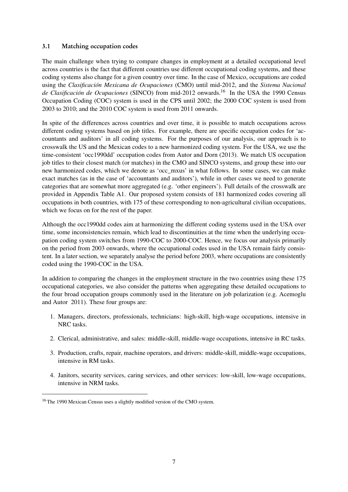### 3.1 Matching occupation codes

The main challenge when trying to compare changes in employment at a detailed occupational level across countries is the fact that different countries use different occupational coding systems, and these coding systems also change for a given country over time. In the case of Mexico, occupations are coded using the *Clasificación Mexicana de Ocupaciones* (CMO) until mid-2012, and the *Sistema Nacional* de Clasificación de Ocupaciones (SINCO) from mid-2012 onwards.<sup>[16](#page-2-0)</sup> In the USA the 1990 Census Occupation Coding (COC) system is used in the CPS until 2002; the 2000 COC system is used from 2003 to 2010; and the 2010 COC system is used from 2011 onwards.

In spite of the differences across countries and over time, it is possible to match occupations across different coding systems based on job titles. For example, there are specific occupation codes for 'accountants and auditors' in all coding systems. For the purposes of our analysis, our approach is to crosswalk the US and the Mexican codes to a new harmonized coding system. For the USA, we use the time-consistent 'occ1990dd' occupation codes from [Autor and Dorn](#page-26-13) [\(2013\)](#page-26-13). We match US occupation job titles to their closest match (or matches) in the CMO and SINCO systems, and group these into our new harmonized codes, which we denote as 'occ\_mxus' in what follows. In some cases, we can make exact matches (as in the case of 'accountants and auditors'), while in other cases we need to generate categories that are somewhat more aggregated (e.g. 'other engineers'). Full details of the crosswalk are provided in Appendix Table [A1.](#page-29-0) Our proposed system consists of 181 harmonized codes covering all occupations in both countries, with 175 of these corresponding to non-agricultural civilian occupations, which we focus on for the rest of the paper.

Although the occ1990dd codes aim at harmonizing the different coding systems used in the USA over time, some inconsistencies remain, which lead to discontinuities at the time when the underlying occupation coding system switches from 1990-COC to 2000-COC. Hence, we focus our analysis primarily on the period from 2003 onwards, where the occupational codes used in the USA remain fairly consistent. In a later section, we separately analyse the period before 2003, where occupations are consistently coded using the 1990-COC in the USA.

In addition to comparing the changes in the employment structure in the two countries using these 175 occupational categories, we also consider the patterns when aggregating these detailed occupations to the four broad occupation groups commonly used in the literature on job polarization (e.g. [Acemoglu](#page-25-0) [and Autor](#page-25-0) [2011\)](#page-25-0). These four groups are:

- 1. Managers, directors, professionals, technicians: high-skill, high-wage occupations, intensive in NRC tasks.
- 2. Clerical, administrative, and sales: middle-skill, middle-wage occupations, intensive in RC tasks.
- 3. Production, crafts, repair, machine operators, and drivers: middle-skill, middle-wage occupations, intensive in RM tasks.
- 4. Janitors, security services, caring services, and other services: low-skill, low-wage occupations, intensive in NRM tasks.

<sup>&</sup>lt;sup>16</sup> The 1990 Mexican Census uses a slightly modified version of the CMO system.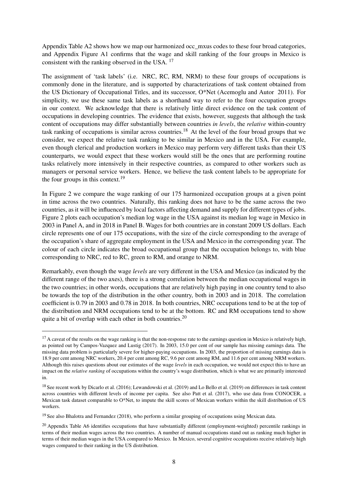Appendix Table [A2](#page-36-0) shows how we map our harmonized occ\_mxus codes to these four broad categories, and Appendix Figure [A1](#page-46-0) confirms that the wage and skill ranking of the four groups in Mexico is consistent with the ranking observed in the USA. [17](#page-2-0)

The assignment of 'task labels' (i.e. NRC, RC, RM, NRM) to these four groups of occupations is commonly done in the literature, and is supported by characterizations of task content obtained from the US Dictionary of Occupational Titles, and its successor, O\*Net [\(Acemoglu and Autor](#page-25-0) [2011\)](#page-25-0). For simplicity, we use these same task labels as a shorthand way to refer to the four occupation groups in our context. We acknowledge that there is relatively little direct evidence on the task content of occupations in developing countries. The evidence that exists, however, suggests that although the task content of occupations may differ substantially between countries *in levels*, the *relative* within-country task ranking of occupations is similar across countries.[18](#page-2-0) At the level of the four broad groups that we consider, we expect the relative task ranking to be similar in Mexico and in the USA. For example, even though clerical and production workers in Mexico may perform very different tasks than their US counterparts, we would expect that these workers would still be the ones that are performing routine tasks relatively more intensively in their respective countries, as compared to other workers such as managers or personal service workers. Hence, we believe the task content labels to be appropriate for the four groups in this context.<sup>[19](#page-2-0)</sup>

In Figure [2](#page-10-0) we compare the wage ranking of our 175 harmonized occupation groups at a given point in time across the two countries. Naturally, this ranking does not have to be the same across the two countries, as it will be influenced by local factors affecting demand and supply for different types of jobs. Figure [2](#page-10-0) plots each occupation's median log wage in the USA against its median log wage in Mexico in 2003 in Panel A, and in 2018 in Panel B. Wages for both countries are in constant 2009 US dollars. Each circle represents one of our 175 occupations, with the size of the circle corresponding to the average of the occupation's share of aggregate employment in the USA and Mexico in the corresponding year. The colour of each circle indicates the broad occupational group that the occupation belongs to, with blue corresponding to NRC, red to RC, green to RM, and orange to NRM.

Remarkably, even though the wage *levels* are very different in the USA and Mexico (as indicated by the different range of the two axes), there is a strong correlation between the median occupational wages in the two countries; in other words, occupations that are relatively high paying in one country tend to also be towards the top of the distribution in the other country, both in 2003 and in 2018. The correlation coefficient is 0.79 in 2003 and 0.78 in 2018. In both countries, NRC occupations tend to be at the top of the distribution and NRM occupations tend to be at the bottom. RC and RM occupations tend to show quite a bit of overlap with each other in both countries.<sup>[20](#page-2-0)</sup>

 $17$  A caveat of the results on the wage ranking is that the non-response rate to the earnings question in Mexico is relatively high, as pointed out by [Campos-Vazquez and Lustig](#page-26-14) [\(2017\)](#page-26-14). In 2003, 15.0 per cent of our sample has missing earnings data. The missing data problem is particularly severe for higher-paying occupations. In 2003, the proportion of missing earnings data is 18.9 per cent among NRC workers, 20.4 per cent among RC, 9.6 per cent among RM, and 11.6 per cent among NRM workers. Although this raises questions about our estimates of the wage *levels* in each occupation, we would not expect this to have an impact on the *relative ranking* of occupations within the country's wage distribution, which is what we are primarily interested in.

<sup>&</sup>lt;sup>18</sup> See recent work by [Dicarlo et al.](#page-26-9) [\(2016\)](#page-26-9); [Lewandowski et al.](#page-27-12) [\(2019\)](#page-27-13) and [Lo Bello et al.](#page-27-13) (2019) on differences in task content across countries with different levels of income per capita. See also [Patt et al.](#page-28-6) [\(2017\)](#page-28-6), who use data from CONOCER, a Mexican task dataset comparable to O\*Net, to impute the skill scores of Mexican workers within the skill distribution of US workers.

<sup>&</sup>lt;sup>19</sup> See also [Bhalotra and Fernandez](#page-26-15) [\(2018\)](#page-26-15), who perform a similar grouping of occupations using Mexican data.

 $20$  Appendix Table [A6](#page-43-0) identifies occupations that have substantially different (employment-weighted) percentile rankings in terms of their median wages across the two countries. A number of manual occupations stand out as ranking much higher in terms of their median wages in the USA compared to Mexico. In Mexico, several cognitive occupations receive relatively high wages compared to their ranking in the US distribution.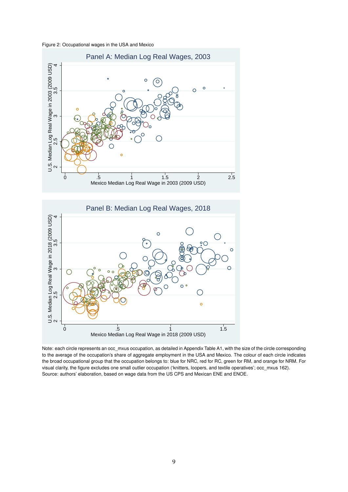<span id="page-10-0"></span>Figure 2: Occupational wages in the USA and Mexico



Note: each circle represents an occ\_mxus occupation, as detailed in Appendix Table [A1,](#page-29-0) with the size of the circle corresponding to the average of the occupation's share of aggregate employment in the USA and Mexico. The colour of each circle indicates the broad occupational group that the occupation belongs to: blue for NRC, red for RC, green for RM, and orange for NRM. For visual clarity, the figure excludes one small outlier occupation ('knitters, loopers, and textile operatives'; occ\_mxus 162). Source: authors' elaboration, based on wage data from the US CPS and Mexican ENE and ENOE.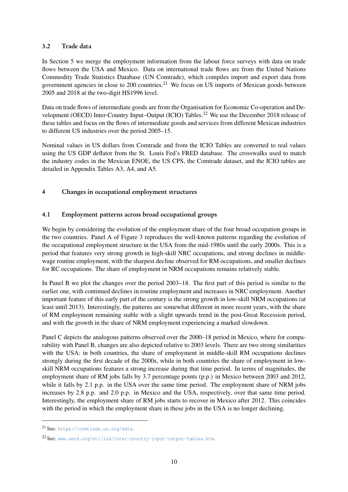# 3.2 Trade data

In Section [5](#page-16-0) we merge the employment information from the labour force surveys with data on trade flows between the USA and Mexico. Data on international trade flows are from the United Nations Commodity Trade Statistics Database (UN Comtrade), which compiles import and export data from government agencies in close to 200 countries.<sup>[21](#page-2-0)</sup> We focus on US imports of Mexican goods between 2005 and 2018 at the two-digit HS1996 level.

Data on trade flows of intermediate goods are from the Organisation for Economic Co-operation and De-velopment (OECD) Inter-Country Input–Output (ICIO) Tables.<sup>[22](#page-2-0)</sup> We use the December 2018 release of these tables and focus on the flows of intermediate goods and services from different Mexican industries to different US industries over the period 2005–15.

Nominal values in US dollars from Comtrade and from the ICIO Tables are converted to real values using the US GDP deflator from the St. Louis Fed's FRED database. The crosswalks used to match the industry codes in the Mexican ENOE, the US CPS, the Comtrade dataset, and the ICIO tables are detailed in Appendix Tables [A3,](#page-37-0) [A4,](#page-41-0) and [A5.](#page-42-0)

# <span id="page-11-0"></span>4 Changes in occupational employment structures

# 4.1 Employment patterns across broad occupational groups

We begin by considering the evolution of the employment share of the four broad occupation groups in the two countries. Panel A of Figure [3](#page-12-0) reproduces the well-known patterns regarding the evolution of the occupational employment structure in the USA from the mid-1980s until the early 2000s. This is a period that features very strong growth in high-skill NRC occupations, and strong declines in middlewage routine employment, with the sharpest decline observed for RM occupations, and smaller declines for RC occupations. The share of employment in NRM occupations remains relatively stable.

In Panel B we plot the changes over the period 2003–18. The first part of this period is similar to the earlier one, with continued declines in routine employment and increases in NRC employment. Another important feature of this early part of the century is the strong growth in low-skill NRM occupations (at least until 2013). Interestingly, the patterns are somewhat different in more recent years, with the share of RM employment remaining stable with a slight upwards trend in the post-Great Recession period, and with the growth in the share of NRM employment experiencing a marked slowdown.

Panel C depicts the analogous patterns observed over the 2000–18 period in Mexico, where for comparability with Panel B, changes are also depicted relative to 2003 levels. There are two strong similarities with the USA: in both countries, the share of employment in middle-skill RM occupations declines strongly during the first decade of the 2000s, while in both countries the share of employment in lowskill NRM occupations features a strong increase during that time period. In terms of magnitudes, the employment share of RM jobs falls by 3.7 percentage points (p.p.) in Mexico between 2003 and 2012, while it falls by 2.1 p.p. in the USA over the same time period. The employment share of NRM jobs increases by 2.8 p.p. and 2.0 p.p. in Mexico and the USA, respectively, over that same time period. Interestingly, the employment share of RM jobs starts to recover in Mexico after 2012. This coincides with the period in which the employment share in these jobs in the USA is no longer declining.

<sup>21</sup> See: <https://comtrade.un.org/data>.

<sup>22</sup> See: <www.oecd.org/sti/ind/inter-country-input-output-tables.htm>.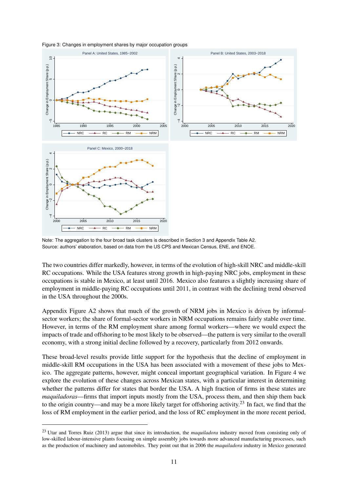

<span id="page-12-0"></span>Figure 3: Changes in employment shares by major occupation groups

Note: The aggregation to the four broad task clusters is described in Section [3](#page-6-1) and Appendix Table [A2.](#page-36-0) Source: authors' elaboration, based on data from the US CPS and Mexican Census, ENE, and ENOE.

The two countries differ markedly, however, in terms of the evolution of high-skill NRC and middle-skill RC occupations. While the USA features strong growth in high-paying NRC jobs, employment in these occupations is stable in Mexico, at least until 2016. Mexico also features a slightly increasing share of employment in middle-paying RC occupations until 2011, in contrast with the declining trend observed in the USA throughout the 2000s.

Appendix Figure [A2](#page-47-0) shows that much of the growth of NRM jobs in Mexico is driven by informalsector workers; the share of formal-sector workers in NRM occupations remains fairly stable over time. However, in terms of the RM employment share among formal workers—where we would expect the impacts of trade and offshoring to be most likely to be observed—the pattern is very similar to the overall economy, with a strong initial decline followed by a recovery, particularly from 2012 onwards.

These broad-level results provide little support for the hypothesis that the decline of employment in middle-skill RM occupations in the USA has been associated with a movement of these jobs to Mexico. The aggregate patterns, however, might conceal important geographical variation. In Figure [4](#page-13-0) we explore the evolution of these changes across Mexican states, with a particular interest in determining whether the patterns differ for states that border the USA. A high fraction of firms in these states are *maquiladoras*—firms that import inputs mostly from the USA, process them, and then ship them back to the origin country—and may be a more likely target for offshoring activity.[23](#page-2-0) In fact, we find that the loss of RM employment in the earlier period, and the loss of RC employment in the more recent period,

<sup>23</sup> [Utar and Torres Ruiz](#page-28-1) [\(2013\)](#page-28-1) argue that since its introduction, the *maquiladora* industry moved from consisting only of low-skilled labour-intensive plants focusing on simple assembly jobs towards more advanced manufacturing processes, such as the production of machinery and automobiles. They point out that in 2006 the *maquiladora* industry in Mexico generated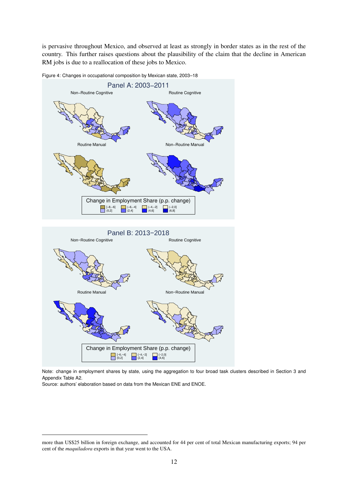is pervasive throughout Mexico, and observed at least as strongly in border states as in the rest of the country. This further raises questions about the plausibility of the claim that the decline in American RM jobs is due to a reallocation of these jobs to Mexico.



<span id="page-13-0"></span>Figure 4: Changes in occupational composition by Mexican state, 2003–18

Note: change in employment shares by state, using the aggregation to four broad task clusters described in Section [3](#page-6-1) and Appendix Table [A2.](#page-36-0)

Source: authors' elaboration based on data from the Mexican ENE and ENOE.

 $[-6,-4]$   $[-4,-2]$   $[-2,0]$ <br>  $(0,2]$   $(2,4]$   $(4,6)$ Change in Employment Share (p.p. change)

more than US\$25 billion in foreign exchange, and accounted for 44 per cent of total Mexican manufacturing exports; 94 per cent of the *maquiladora* exports in that year went to the USA.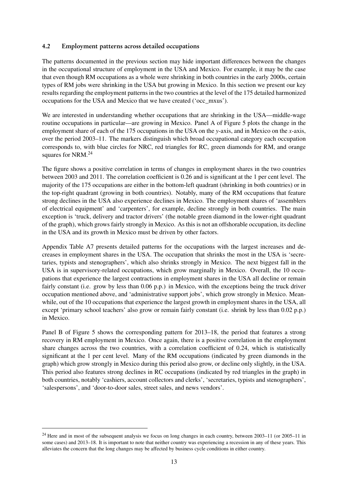### 4.2 Employment patterns across detailed occupations

The patterns documented in the previous section may hide important differences between the changes in the occupational structure of employment in the USA and Mexico. For example, it may be the case that even though RM occupations as a whole were shrinking in both countries in the early 2000s, certain types of RM jobs were shrinking in the USA but growing in Mexico. In this section we present our key results regarding the employment patterns in the two countries at the level of the 175 detailed harmonized occupations for the USA and Mexico that we have created ('occ\_mxus').

We are interested in understanding whether occupations that are shrinking in the USA—middle-wage routine occupations in particular—are growing in Mexico. Panel A of Figure [5](#page-15-0) plots the change in the employment share of each of the 175 occupations in the USA on the *y*-axis, and in Mexico on the *x*-axis, over the period 2003–11. The markers distinguish which broad occupational category each occupation corresponds to, with blue circles for NRC, red triangles for RC, green diamonds for RM, and orange squares for NRM.<sup>[24](#page-2-0)</sup>

The figure shows a positive correlation in terms of changes in employment shares in the two countries between 2003 and 2011. The correlation coefficient is 0.26 and is significant at the 1 per cent level. The majority of the 175 occupations are either in the bottom-left quadrant (shrinking in both countries) or in the top-right quadrant (growing in both countries). Notably, many of the RM occupations that feature strong declines in the USA also experience declines in Mexico. The employment shares of 'assemblers of electrical equipment' and 'carpenters', for example, decline strongly in both countries. The main exception is 'truck, delivery and tractor drivers' (the notable green diamond in the lower-right quadrant of the graph), which grows fairly strongly in Mexico. As this is not an offshorable occupation, its decline in the USA and its growth in Mexico must be driven by other factors.

Appendix Table [A7](#page-44-0) presents detailed patterns for the occupations with the largest increases and decreases in employment shares in the USA. The occupation that shrinks the most in the USA is 'secretaries, typists and stenographers', which also shrinks strongly in Mexico. The next biggest fall in the USA is in supervisory-related occupations, which grow marginally in Mexico. Overall, the 10 occupations that experience the largest contractions in employment shares in the USA all decline or remain fairly constant (i.e. grow by less than 0.06 p.p.) in Mexico, with the exceptions being the truck driver occupation mentioned above, and 'administrative support jobs', which grow strongly in Mexico. Meanwhile, out of the 10 occupations that experience the largest growth in employment shares in the USA, all except 'primary school teachers' also grow or remain fairly constant (i.e. shrink by less than 0.02 p.p.) in Mexico.

Panel B of Figure [5](#page-15-0) shows the corresponding pattern for 2013–18, the period that features a strong recovery in RM employment in Mexico. Once again, there is a positive correlation in the employment share changes across the two countries, with a correlation coefficient of 0.24, which is statistically significant at the 1 per cent level. Many of the RM occupations (indicated by green diamonds in the graph) which grow strongly in Mexico during this period also grow, or decline only slightly, in the USA. This period also features strong declines in RC occupations (indicated by red triangles in the graph) in both countries, notably 'cashiers, account collectors and clerks', 'secretaries, typists and stenographers', 'salespersons', and 'door-to-door sales, street sales, and news vendors'.

 $24$  Here and in most of the subsequent analysis we focus on long changes in each country, between 2003–11 (or 2005–11 in some cases) and 2013–18. It is important to note that neither country was experiencing a recession in any of these years. This alleviates the concern that the long changes may be affected by business cycle conditions in either country.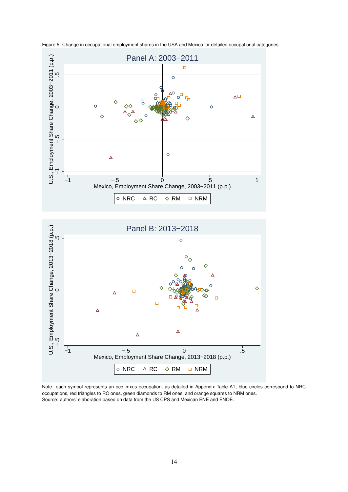

<span id="page-15-0"></span>Figure 5: Change in occupational employment shares in the USA and Mexico for detailed occupational categories

Note: each symbol represents an occ\_mxus occupation, as detailed in Appendix Table [A1;](#page-29-0) blue circles correspond to NRC occupations, red triangles to RC ones, green diamonds to RM ones, and orange squares to NRM ones. Source: authors' elaboration based on data from the US CPS and Mexican ENE and ENOE.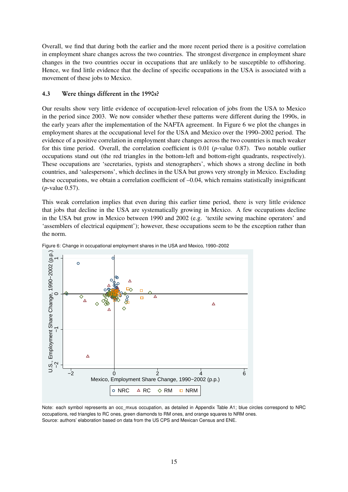Overall, we find that during both the earlier and the more recent period there is a positive correlation in employment share changes across the two countries. The strongest divergence in employment share changes in the two countries occur in occupations that are unlikely to be susceptible to offshoring. Hence, we find little evidence that the decline of specific occupations in the USA is associated with a movement of these jobs to Mexico.

# 4.3 Were things different in the 1990s?

Our results show very little evidence of occupation-level relocation of jobs from the USA to Mexico in the period since 2003. We now consider whether these patterns were different during the 1990s, in the early years after the implementation of the NAFTA agreement. In Figure [6](#page-16-1) we plot the changes in employment shares at the occupational level for the USA and Mexico over the 1990–2002 period. The evidence of a positive correlation in employment share changes across the two countries is much weaker for this time period. Overall, the correlation coefficient is 0.01 (*p*-value 0.87). Two notable outlier occupations stand out (the red triangles in the bottom-left and bottom-right quadrants, respectively). These occupations are 'secretaries, typists and stenographers', which shows a strong decline in both countries, and 'salespersons', which declines in the USA but grows very strongly in Mexico. Excluding these occupations, we obtain a correlation coefficient of  $-0.04$ , which remains statistically insignificant (*p*-value 0.57).

This weak correlation implies that even during this earlier time period, there is very little evidence that jobs that decline in the USA are systematically growing in Mexico. A few occupations decline in the USA but grow in Mexico between 1990 and 2002 (e.g. 'textile sewing machine operators' and 'assemblers of electrical equipment'); however, these occupations seem to be the exception rather than the norm.



<span id="page-16-1"></span>Figure 6: Change in occupational employment shares in the USA and Mexico, 1990–2002

<span id="page-16-0"></span>Note: each symbol represents an occ\_mxus occupation, as detailed in Appendix Table [A1;](#page-29-0) blue circles correspond to NRC occupations, red triangles to RC ones, green diamonds to RM ones, and orange squares to NRM ones. Source: authors' elaboration based on data from the US CPS and Mexican Census and ENE.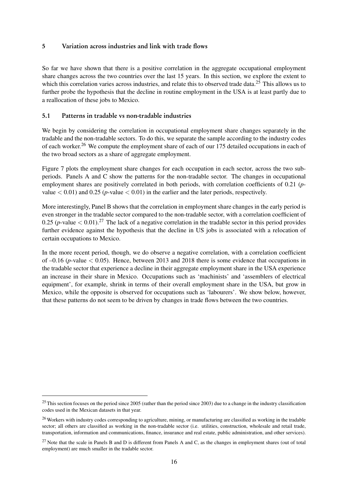### 5 Variation across industries and link with trade flows

So far we have shown that there is a positive correlation in the aggregate occupational employment share changes across the two countries over the last 15 years. In this section, we explore the extent to which this correlation varies across industries, and relate this to observed trade data.<sup>[25](#page-2-0)</sup> This allows us to further probe the hypothesis that the decline in routine employment in the USA is at least partly due to a reallocation of these jobs to Mexico.

### 5.1 Patterns in tradable vs non-tradable industries

We begin by considering the correlation in occupational employment share changes separately in the tradable and the non-tradable sectors. To do this, we separate the sample according to the industry codes of each worker.<sup>[26](#page-2-0)</sup> We compute the employment share of each of our 175 detailed occupations in each of the two broad sectors as a share of aggregate employment.

Figure [7](#page-18-0) plots the employment share changes for each occupation in each sector, across the two subperiods. Panels A and C show the patterns for the non-tradable sector. The changes in occupational employment shares are positively correlated in both periods, with correlation coefficients of 0.21 (*p*value  $< 0.01$ ) and  $0.25$  (*p*-value  $< 0.01$ ) in the earlier and the later periods, respectively.

More interestingly, Panel B shows that the correlation in employment share changes in the early period is even stronger in the tradable sector compared to the non-tradable sector, with a correlation coefficient of 0.25 (*p*-value  $<$  0.01).<sup>[27](#page-2-0)</sup> The lack of a negative correlation in the tradable sector in this period provides further evidence against the hypothesis that the decline in US jobs is associated with a relocation of certain occupations to Mexico.

In the more recent period, though, we do observe a negative correlation, with a correlation coefficient of  $-0.16$  (*p*-value  $< 0.05$ ). Hence, between 2013 and 2018 there is some evidence that occupations in the tradable sector that experience a decline in their aggregate employment share in the USA experience an increase in their share in Mexico. Occupations such as 'machinists' and 'assemblers of electrical equipment', for example, shrink in terms of their overall employment share in the USA, but grow in Mexico, while the opposite is observed for occupations such as 'labourers'. We show below, however, that these patterns do not seem to be driven by changes in trade flows between the two countries.

 $25$ This section focuses on the period since 2005 (rather than the period since 2003) due to a change in the industry classification codes used in the Mexican datasets in that year.

<sup>&</sup>lt;sup>26</sup> Workers with industry codes corresponding to agriculture, mining, or manufacturing are classified as working in the tradable sector; all others are classified as working in the non-tradable sector (i.e. utilities, construction, wholesale and retail trade, transportation, information and communications, finance, insurance and real estate, public administration, and other services).

 $27$  Note that the scale in Panels B and D is different from Panels A and C, as the changes in employment shares (out of total employment) are much smaller in the tradable sector.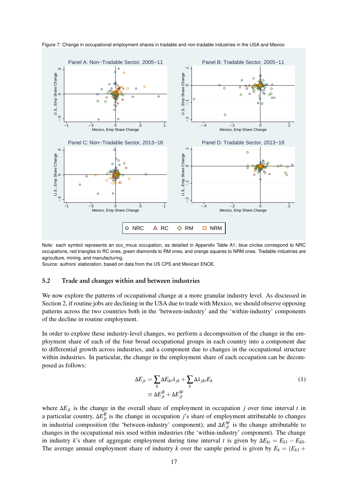

<span id="page-18-0"></span>Figure 7: Change in occupational employment shares in tradable and non-tradable industries in the USA and Mexico

Note: each symbol represents an occ\_mxus occupation, as detailed in Appendix Table [A1;](#page-29-0) blue circles correspond to NRC occupations, red triangles to RC ones, green diamonds to RM ones, and orange squares to NRM ones. Tradable industries are agriculture, mining, and manufacturing.

Source: authors' elaboration, based on data from the US CPS and Mexican ENOE.

#### 5.2 Trade and changes within and between industries

We now explore the patterns of occupational change at a more granular industry level. As discussed in Section [2,](#page-5-0) if routine jobs are declining in the USA due to trade with Mexico, we should observe opposing patterns across the two countries both in the 'between-industry' and the 'within-industry' components of the decline in routine employment.

In order to explore these industry-level changes, we perform a decomposition of the change in the employment share of each of the four broad occupational groups in each country into a component due to differential growth across industries, and a component due to changes in the occupational structure within industries. In particular, the change in the employment share of each occupation can be decomposed as follows:

<span id="page-18-1"></span>
$$
\Delta E_{jt} = \sum_{k} \Delta E_{kt} \lambda_{jk} + \sum_{k} \Delta \lambda_{jkt} E_{k}
$$
  

$$
\equiv \Delta E_{jt}^{B} + \Delta E_{jt}^{W}
$$
 (1)

where ∆*Ejt* is the change in the overall share of employment in occupation *j* over time interval *t* in a particular country,  $\Delta E_{jt}^{B}$  is the change in occupation *j*'s share of employment attributable to changes in industrial composition (the 'between-industry' component), and  $\Delta E_{jt}^W$  is the change attributable to changes in the occupational mix used within industries (the 'within-industry' component). The change in industry *k*'s share of aggregate employment during time interval *t* is given by  $\Delta E_{kt} = E_{k1} - E_{k0}$ . The average annual employment share of industry *k* over the sample period is given by  $E_k = (E_{k1} + E_{k2})$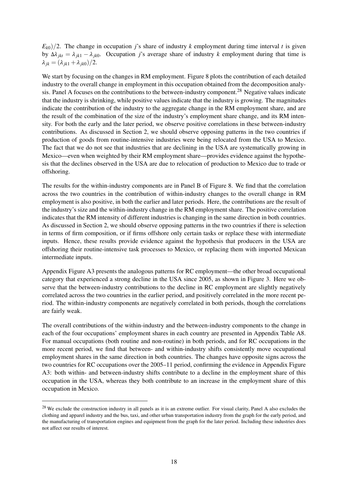$E_{k0}/2$ . The change in occupation *j*'s share of industry *k* employment during time interval *t* is given by ∆*λ jkt* = *λ jk*<sup>1</sup> − *λ jk*0. Occupation *j*'s average share of industry *k* employment during that time is  $\lambda_{jk} = (\lambda_{jk1} + \lambda_{jk0})/2.$ 

We start by focusing on the changes in RM employment. Figure [8](#page-20-0) plots the contribution of each detailed industry to the overall change in employment in this occupation obtained from the decomposition analysis. Panel A focuses on the contributions to the between-industry component.[28](#page-2-0) Negative values indicate that the industry is shrinking, while positive values indicate that the industry is growing. The magnitudes indicate the contribution of the industry to the aggregate change in the RM employment share, and are the result of the combination of the size of the industry's employment share change, and its RM intensity. For both the early and the later period, we observe positive correlations in these between-industry contributions. As discussed in Section [2,](#page-5-0) we should observe opposing patterns in the two countries if production of goods from routine-intensive industries were being relocated from the USA to Mexico. The fact that we do not see that industries that are declining in the USA are systematically growing in Mexico—even when weighted by their RM employment share—provides evidence against the hypothesis that the declines observed in the USA are due to relocation of production to Mexico due to trade or offshoring.

The results for the within-industry components are in Panel B of Figure [8.](#page-20-0) We find that the correlation across the two countries in the contribution of within-industry changes to the overall change in RM employment is also positive, in both the earlier and later periods. Here, the contributions are the result of the industry's size and the within-industry change in the RM employment share. The positive correlation indicates that the RM intensity of different industries is changing in the same direction in both countries. As discussed in Section [2,](#page-5-0) we should observe opposing patterns in the two countries if there is selection in terms of firm composition, or if firms offshore only certain tasks or replace these with intermediate inputs. Hence, these results provide evidence against the hypothesis that producers in the USA are offshoring their routine-intensive task processes to Mexico, or replacing them with imported Mexican intermediate inputs.

Appendix Figure [A3](#page-48-0) presents the analogous patterns for RC employment—the other broad occupational category that experienced a strong decline in the USA since 2005, as shown in Figure [3.](#page-12-0) Here we observe that the between-industry contributions to the decline in RC employment are slightly negatively correlated across the two countries in the earlier period, and positively correlated in the more recent period. The within-industry components are negatively correlated in both periods, though the correlations are fairly weak.

The overall contributions of the within-industry and the between-industry components to the change in each of the four occupations' employment shares in each country are presented in Appendix Table [A8.](#page-45-0) For manual occupations (both routine and non-routine) in both periods, and for RC occupations in the more recent period, we find that between- and within-industry shifts consistently move occupational employment shares in the same direction in both countries. The changes have opposite signs across the two countries for RC occupations over the 2005–11 period, confirming the evidence in Appendix Figure [A3:](#page-48-0) both within- and between-industry shifts contribute to a decline in the employment share of this occupation in the USA, whereas they both contribute to an increase in the employment share of this occupation in Mexico.

 $^{28}$  We exclude the construction industry in all panels as it is an extreme outlier. For visual clarity, Panel A also excludes the clothing and apparel industry and the bus, taxi, and other urban transportation industry from the graph for the early period, and the manufacturing of transportation engines and equipment from the graph for the later period. Including these industries does not affect our results of interest.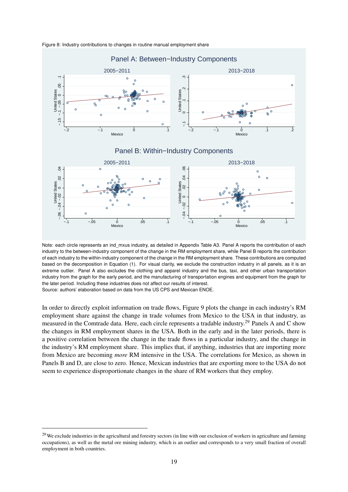

<span id="page-20-0"></span>Figure 8: Industry contributions to changes in routine manual employment share

Note: each circle represents an ind\_mxus industry, as detailed in Appendix Table [A3.](#page-37-0) Panel A reports the contribution of each industry to the between-industry component of the change in the RM employment share, while Panel B reports the contribution of each industry to the within-industry component of the change in the RM employment share. These contributions are computed based on the decomposition in Equation [\(1\)](#page-18-1). For visual clarity, we exclude the construction industry in all panels, as it is an extreme outlier. Panel A also excludes the clothing and apparel industry and the bus, taxi, and other urban transportation industry from the graph for the early period, and the manufacturing of transportation engines and equipment from the graph for the later period. Including these industries does not affect our results of interest. Source: authors' elaboration based on data from the US CPS and Mexican ENOE.

In order to directly exploit information on trade flows, Figure [9](#page-21-0) plots the change in each industry's RM employment share against the change in trade volumes from Mexico to the USA in that industry, as measured in the Comtrade data. Here, each circle represents a tradable industry.[29](#page-2-0) Panels A and C show the changes in RM employment shares in the USA. Both in the early and in the later periods, there is a positive correlation between the change in the trade flows in a particular industry, and the change in the industry's RM employment share. This implies that, if anything, industries that are importing more from Mexico are becoming *more* RM intensive in the USA. The correlations for Mexico, as shown in Panels B and D, are close to zero. Hence, Mexican industries that are exporting more to the USA do not seem to experience disproportionate changes in the share of RM workers that they employ.

<sup>&</sup>lt;sup>29</sup>We exclude industries in the agricultural and forestry sectors (in line with our exclusion of workers in agriculture and farming occupations), as well as the metal ore mining industry, which is an outlier and corresponds to a very small fraction of overall employment in both countries.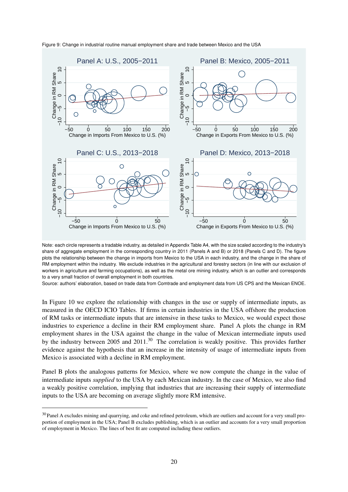

<span id="page-21-0"></span>Figure 9: Change in industrial routine manual employment share and trade between Mexico and the USA

Note: each circle represents a tradable industry, as detailed in Appendix Table [A4,](#page-41-0) with the size scaled according to the industry's share of aggregate employment in the corresponding country in 2011 (Panels A and B) or 2018 (Panels C and D). The figure plots the relationship between the change in imports from Mexico to the USA in each industry, and the change in the share of RM employment within the industry. We exclude industries in the agricultural and forestry sectors (in line with our exclusion of workers in agriculture and farming occupations), as well as the metal ore mining industry, which is an outlier and corresponds to a very small fraction of overall employment in both countries.

Source: authors' elaboration, based on trade data from Comtrade and employment data from US CPS and the Mexican ENOE.

In Figure [10](#page-22-0) we explore the relationship with changes in the use or supply of intermediate inputs, as measured in the OECD ICIO Tables. If firms in certain industries in the USA offshore the production of RM tasks or intermediate inputs that are intensive in these tasks to Mexico, we would expect those industries to experience a decline in their RM employment share. Panel A plots the change in RM employment shares in the USA against the change in the value of Mexican intermediate inputs used by the industry between 2005 and 2011.<sup>[30](#page-2-0)</sup> The correlation is weakly positive. This provides further evidence against the hypothesis that an increase in the intensity of usage of intermediate inputs from Mexico is associated with a decline in RM employment.

Panel B plots the analogous patterns for Mexico, where we now compute the change in the value of intermediate inputs *supplied* to the USA by each Mexican industry. In the case of Mexico, we also find a weakly positive correlation, implying that industries that are increasing their supply of intermediate inputs to the USA are becoming on average slightly more RM intensive.

<sup>&</sup>lt;sup>30</sup> Panel A excludes mining and quarrying, and coke and refined petroleum, which are outliers and account for a very small proportion of employment in the USA; Panel B excludes publishing, which is an outlier and accounts for a very small proportion of employment in Mexico. The lines of best fit are computed including these outliers.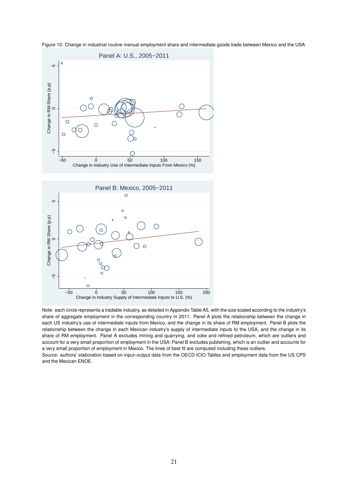<span id="page-22-0"></span>





Note: each circle represents a tradable industry, as detailed in Appendix Table [A5,](#page-42-0) with the size scaled according to the industry's share of aggregate employment in the corresponding country in 2011. Panel A plots the relationship between the change in each US industry's use of intermediate inputs from Mexico, and the change in its share of RM employment. Panel B plots the relationship between the change in each Mexican industry's supply of intermediate inputs to the USA, and the change in its share of RM employment. Panel A excludes mining and quarrying, and coke and refined petroleum, which are outliers and account for a very small proportion of employment in the USA; Panel B excludes publishing, which is an outlier and accounts for a very small proportion of employment in Mexico. The lines of best fit are computed including these outliers.

Source: authors' elaboration based on input–output data from the OECD ICIO Tables and employment data from the US CPS and the Mexican ENOE.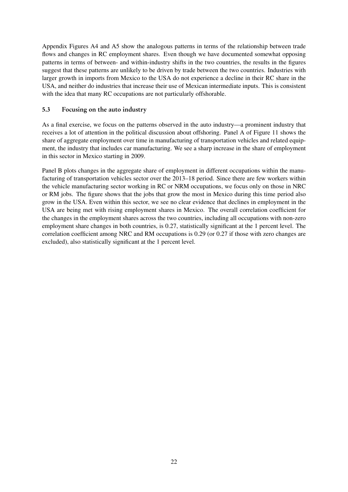Appendix Figures [A4](#page-49-0) and [A5](#page-50-0) show the analogous patterns in terms of the relationship between trade flows and changes in RC employment shares. Even though we have documented somewhat opposing patterns in terms of between- and within-industry shifts in the two countries, the results in the figures suggest that these patterns are unlikely to be driven by trade between the two countries. Industries with larger growth in imports from Mexico to the USA do not experience a decline in their RC share in the USA, and neither do industries that increase their use of Mexican intermediate inputs. This is consistent with the idea that many RC occupations are not particularly offshorable.

# 5.3 Focusing on the auto industry

As a final exercise, we focus on the patterns observed in the auto industry—a prominent industry that receives a lot of attention in the political discussion about offshoring. Panel A of Figure [11](#page-24-0) shows the share of aggregate employment over time in manufacturing of transportation vehicles and related equipment, the industry that includes car manufacturing. We see a sharp increase in the share of employment in this sector in Mexico starting in 2009.

Panel B plots changes in the aggregate share of employment in different occupations within the manufacturing of transportation vehicles sector over the 2013–18 period. Since there are few workers within the vehicle manufacturing sector working in RC or NRM occupations, we focus only on those in NRC or RM jobs. The figure shows that the jobs that grow the most in Mexico during this time period also grow in the USA. Even within this sector, we see no clear evidence that declines in employment in the USA are being met with rising employment shares in Mexico. The overall correlation coefficient for the changes in the employment shares across the two countries, including all occupations with non-zero employment share changes in both countries, is 0.27, statistically significant at the 1 percent level. The correlation coefficient among NRC and RM occupations is 0.29 (or 0.27 if those with zero changes are excluded), also statistically significant at the 1 percent level.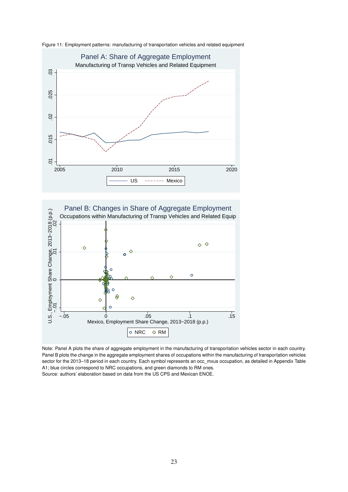

<span id="page-24-0"></span>



Note: Panel A plots the share of aggregate employment in the manufacturing of transportation vehicles sector in each country. Panel B plots the change in the aggregate employment shares of occupations within the manufacturing of transportation vehicles sector for the 2013–18 period in each country. Each symbol represents an occ\_mxus occupation, as detailed in Appendix Table [A1;](#page-29-0) blue circles correspond to NRC occupations, and green diamonds to RM ones. Source: authors' elaboration based on data from the US CPS and Mexican ENOE.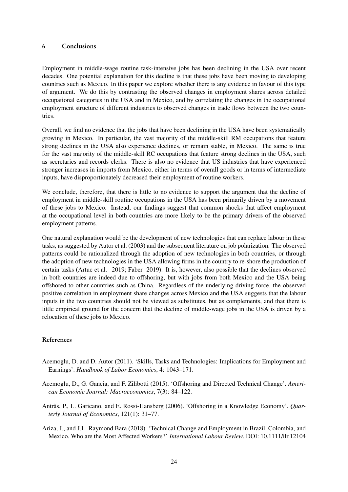#### 6 Conclusions

Employment in middle-wage routine task-intensive jobs has been declining in the USA over recent decades. One potential explanation for this decline is that these jobs have been moving to developing countries such as Mexico. In this paper we explore whether there is any evidence in favour of this type of argument. We do this by contrasting the observed changes in employment shares across detailed occupational categories in the USA and in Mexico, and by correlating the changes in the occupational employment structure of different industries to observed changes in trade flows between the two countries.

Overall, we find no evidence that the jobs that have been declining in the USA have been systematically growing in Mexico. In particular, the vast majority of the middle-skill RM occupations that feature strong declines in the USA also experience declines, or remain stable, in Mexico. The same is true for the vast majority of the middle-skill RC occupations that feature strong declines in the USA, such as secretaries and records clerks. There is also no evidence that US industries that have experienced stronger increases in imports from Mexico, either in terms of overall goods or in terms of intermediate inputs, have disproportionately decreased their employment of routine workers.

We conclude, therefore, that there is little to no evidence to support the argument that the decline of employment in middle-skill routine occupations in the USA has been primarily driven by a movement of these jobs to Mexico. Instead, our findings suggest that common shocks that affect employment at the occupational level in both countries are more likely to be the primary drivers of the observed employment patterns.

One natural explanation would be the development of new technologies that can replace labour in these tasks, as suggested by [Autor et al.](#page-26-0) [\(2003\)](#page-26-0) and the subsequent literature on job polarization. The observed patterns could be rationalized through the adoption of new technologies in both countries, or through the adoption of new technologies in the USA allowing firms in the country to re-shore the production of certain tasks [\(Artuc et al.](#page-26-2) [2019;](#page-26-2) [Faber](#page-27-3) [2019\)](#page-27-3). It is, however, also possible that the declines observed in both countries are indeed due to offshoring, but with jobs from both Mexico and the USA being offshored to other countries such as China. Regardless of the underlying driving force, the observed positive correlation in employment share changes across Mexico and the USA suggests that the labour inputs in the two countries should not be viewed as substitutes, but as complements, and that there is little empirical ground for the concern that the decline of middle-wage jobs in the USA is driven by a relocation of these jobs to Mexico.

# References

- <span id="page-25-0"></span>Acemoglu, D. and D. Autor (2011). 'Skills, Tasks and Technologies: Implications for Employment and Earnings'. *Handbook of Labor Economics*, 4: 1043–171.
- <span id="page-25-2"></span>Acemoglu, D., G. Gancia, and F. Zilibotti (2015). 'Offshoring and Directed Technical Change'. *American Economic Journal: Macroeconomics*, 7(3): 84–122.
- <span id="page-25-1"></span>Antràs, P., L. Garicano, and E. Rossi-Hansberg (2006). 'Offshoring in a Knowledge Economy'. *Quarterly Journal of Economics*, 121(1): 31–77.
- <span id="page-25-3"></span>Ariza, J., and J.L. Raymond Bara (2018). 'Technical Change and Employment in Brazil, Colombia, and Mexico. Who are the Most Affected Workers?' *International Labour Review*. DOI: 10.1111/ilr.12104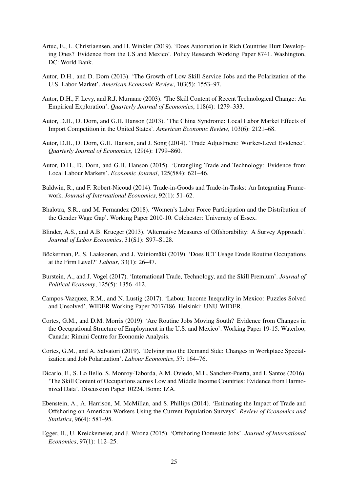- <span id="page-26-2"></span>Artuc, E., L. Christiaensen, and H. Winkler (2019). 'Does Automation in Rich Countries Hurt Developing Ones? Evidence from the US and Mexico'. Policy Research Working Paper 8741. Washington, DC: World Bank.
- <span id="page-26-13"></span>Autor, D.H., and D. Dorn (2013). 'The Growth of Low Skill Service Jobs and the Polarization of the U.S. Labor Market'. *American Economic Review*, 103(5): 1553–97.
- <span id="page-26-0"></span>Autor, D.H., F. Levy, and R.J. Murnane (2003). 'The Skill Content of Recent Technological Change: An Empirical Exploration'. *Quarterly Journal of Economics*, 118(4): 1279–333.
- <span id="page-26-5"></span>Autor, D.H., D. Dorn, and G.H. Hanson (2013). 'The China Syndrome: Local Labor Market Effects of Import Competition in the United States'. *American Economic Review*, 103(6): 2121–68.
- <span id="page-26-6"></span>Autor, D.H., D. Dorn, G.H. Hanson, and J. Song (2014). 'Trade Adjustment: Worker-Level Evidence'. *Quarterly Journal of Economics*, 129(4): 1799–860.
- <span id="page-26-4"></span>Autor, D.H., D. Dorn, and G.H. Hanson (2015). 'Untangling Trade and Technology: Evidence from Local Labour Markets'. *Economic Journal*, 125(584): 621–46.
- <span id="page-26-12"></span>Baldwin, R., and F. Robert-Nicoud (2014). Trade-in-Goods and Trade-in-Tasks: An Integrating Framework. *Journal of International Economics*, 92(1): 51–62.
- <span id="page-26-15"></span>Bhalotra, S.R., and M. Fernandez (2018). 'Women's Labor Force Participation and the Distribution of the Gender Wage Gap'. Working Paper 2010-10. Colchester: University of Essex.
- <span id="page-26-3"></span>Blinder, A.S., and A.B. Krueger (2013). 'Alternative Measures of Offshorability: A Survey Approach'. *Journal of Labor Economics*, 31(S1): S97–S128.
- <span id="page-26-10"></span>Böckerman, P., S. Laaksonen, and J. Vainiomäki (2019). 'Does ICT Usage Erode Routine Occupations at the Firm Level?' *Labour*, 33(1): 26–47.
- <span id="page-26-8"></span>Burstein, A., and J. Vogel (2017). 'International Trade, Technology, and the Skill Premium'. *Journal of Political Economy*, 125(5): 1356–412.
- <span id="page-26-14"></span>Campos-Vazquez, R.M., and N. Lustig (2017). 'Labour Income Inequality in Mexico: Puzzles Solved and Unsolved'. WIDER Working Paper 2017/186. Helsinki: UNU-WIDER.
- Cortes, G.M., and D.M. Morris (2019). 'Are Routine Jobs Moving South? Evidence from Changes in the Occupational Structure of Employment in the U.S. and Mexico'. Working Paper 19-15. Waterloo, Canada: Rimini Centre for Economic Analysis.
- <span id="page-26-11"></span>Cortes, G.M., and A. Salvatori (2019). 'Delving into the Demand Side: Changes in Workplace Specialization and Job Polarization'. *Labour Economics*, 57: 164–76.
- <span id="page-26-9"></span>Dicarlo, E., S. Lo Bello, S. Monroy-Taborda, A.M. Oviedo, M.L. Sanchez-Puerta, and I. Santos (2016). 'The Skill Content of Occupations across Low and Middle Income Countries: Evidence from Harmonized Data'. Discussion Paper 10224. Bonn: IZA.
- <span id="page-26-7"></span>Ebenstein, A., A. Harrison, M. McMillan, and S. Phillips (2014). 'Estimating the Impact of Trade and Offshoring on American Workers Using the Current Population Surveys'. *Review of Economics and Statistics*, 96(4): 581–95.
- <span id="page-26-1"></span>Egger, H., U. Kreickemeier, and J. Wrona (2015). 'Offshoring Domestic Jobs'. *Journal of International Economics*, 97(1): 112–25.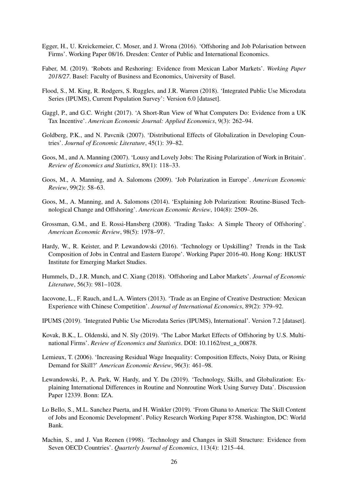- <span id="page-27-1"></span>Egger, H., U. Kreickemeier, C. Moser, and J. Wrona (2016). 'Offshoring and Job Polarisation between Firms'. Working Paper 08/16. Dresden: Center of Public and International Economics.
- <span id="page-27-3"></span>Faber, M. (2019). 'Robots and Reshoring: Evidence from Mexican Labor Markets'. *Working Paper 2018/27*. Basel: Faculty of Business and Economics, University of Basel.
- <span id="page-27-15"></span>Flood, S., M. King, R. Rodgers, S. Ruggles, and J.R. Warren (2018). 'Integrated Public Use Microdata Series (IPUMS), Current Population Survey': Version 6.0 [dataset].
- <span id="page-27-14"></span>Gaggl, P., and G.C. Wright (2017). 'A Short-Run View of What Computers Do: Evidence from a UK Tax Incentive'. *American Economic Journal: Applied Economics*, 9(3): 262–94.
- <span id="page-27-6"></span>Goldberg, P.K., and N. Pavcnik (2007). 'Distributional Effects of Globalization in Developing Countries'. *Journal of Economic Literature*, 45(1): 39–82.
- <span id="page-27-2"></span>Goos, M., and A. Manning (2007). 'Lousy and Lovely Jobs: The Rising Polarization of Work in Britain'. *Review of Economics and Statistics*, 89(1): 118–33.
- <span id="page-27-0"></span>Goos, M., A. Manning, and A. Salomons (2009). 'Job Polarization in Europe'. *American Economic Review*, 99(2): 58–63.
- <span id="page-27-5"></span>Goos, M., A. Manning, and A. Salomons (2014). 'Explaining Job Polarization: Routine-Biased Technological Change and Offshoring'. *American Economic Review*, 104(8): 2509–26.
- <span id="page-27-7"></span>Grossman, G.M., and E. Rossi-Hansberg (2008). 'Trading Tasks: A Simple Theory of Offshoring'. *American Economic Review*, 98(5): 1978–97.
- <span id="page-27-11"></span>Hardy, W., R. Keister, and P. Lewandowski (2016). 'Technology or Upskilling? Trends in the Task Composition of Jobs in Central and Eastern Europe'. Working Paper 2016-40. Hong Kong: HKUST Institute for Emerging Market Studies.
- <span id="page-27-8"></span>Hummels, D., J.R. Munch, and C. Xiang (2018). 'Offshoring and Labor Markets'. *Journal of Economic Literature*, 56(3): 981–1028.
- <span id="page-27-9"></span>Iacovone, L., F. Rauch, and L.A. Winters (2013). 'Trade as an Engine of Creative Destruction: Mexican Experience with Chinese Competition'. *Journal of International Economics*, 89(2): 379–92.
- <span id="page-27-16"></span>IPUMS (2019). 'Integrated Public Use Microdata Series (IPUMS), International'. Version 7.2 [dataset].
- <span id="page-27-10"></span>Kovak, B.K., L. Oldenski, and N. Sly (2019). 'The Labor Market Effects of Offshoring by U.S. Multinational Firms'. *Review of Economics and Statistics*. DOI: 10.1162/rest\_a\_00878.
- <span id="page-27-17"></span>Lemieux, T. (2006). 'Increasing Residual Wage Inequality: Composition Effects, Noisy Data, or Rising Demand for Skill?' *American Economic Review*, 96(3): 461–98.
- <span id="page-27-12"></span>Lewandowski, P., A. Park, W. Hardy, and Y. Du (2019). 'Technology, Skills, and Globalization: Explaining International Differences in Routine and Nonroutine Work Using Survey Data'. Discussion Paper 12339. Bonn: IZA.
- <span id="page-27-13"></span>Lo Bello, S., M.L. Sanchez Puerta, and H. Winkler (2019). 'From Ghana to America: The Skill Content of Jobs and Economic Development'. Policy Research Working Paper 8758. Washington, DC: World Bank.
- <span id="page-27-4"></span>Machin, S., and J. Van Reenen (1998). 'Technology and Changes in Skill Structure: Evidence from Seven OECD Countries'. *Quarterly Journal of Economics*, 113(4): 1215–44.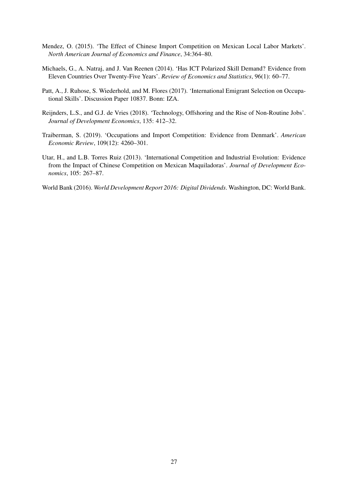- <span id="page-28-2"></span>Mendez, O. (2015). 'The Effect of Chinese Import Competition on Mexican Local Labor Markets'. *North American Journal of Economics and Finance*, 34:364–80.
- <span id="page-28-3"></span>Michaels, G., A. Natraj, and J. Van Reenen (2014). 'Has ICT Polarized Skill Demand? Evidence from Eleven Countries Over Twenty-Five Years'. *Review of Economics and Statistics*, 96(1): 60–77.
- <span id="page-28-6"></span>Patt, A., J. Ruhose, S. Wiederhold, and M. Flores (2017). 'International Emigrant Selection on Occupational Skills'. Discussion Paper 10837. Bonn: IZA.
- <span id="page-28-0"></span>Reijnders, L.S., and G.J. de Vries (2018). 'Technology, Offshoring and the Rise of Non-Routine Jobs'. *Journal of Development Economics*, 135: 412–32.
- <span id="page-28-4"></span>Traiberman, S. (2019). 'Occupations and Import Competition: Evidence from Denmark'. *American Economic Review*, 109(12): 4260–301.
- <span id="page-28-1"></span>Utar, H., and L.B. Torres Ruiz (2013). 'International Competition and Industrial Evolution: Evidence from the Impact of Chinese Competition on Mexican Maquiladoras'. *Journal of Development Economics*, 105: 267–87.
- <span id="page-28-5"></span>World Bank (2016). *World Development Report 2016: Digital Dividends*. Washington, DC: World Bank.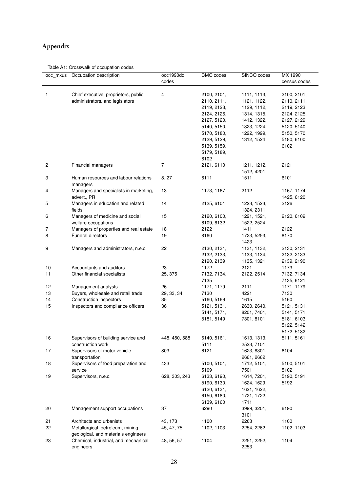# Appendix

#### <span id="page-29-0"></span>Table A1: Crosswalk of occupation codes

| occ_mxus       | Occupation description                                    | occ1990dd      | CMO codes           | SINCO codes  | MX 1990            |
|----------------|-----------------------------------------------------------|----------------|---------------------|--------------|--------------------|
|                |                                                           | codes          |                     |              | census codes       |
|                |                                                           |                |                     |              |                    |
| 1              | Chief executive, proprietors, public                      | 4              | 2100, 2101,         | 1111, 1113,  | 2100, 2101,        |
|                | administrators, and legislators                           |                | 2110, 2111,         | 1121, 1122,  | 2110, 2111,        |
|                |                                                           |                | 2119, 2123,         | 1129, 1112,  | 2119, 2123,        |
|                |                                                           |                | 2124, 2126,         | 1314, 1315,  | 2124, 2125,        |
|                |                                                           |                | 2127, 5120,         | 1412, 1322,  | 2127, 2129,        |
|                |                                                           |                | 5140, 5150,         | 1323, 1224,  | 5120, 5140,        |
|                |                                                           |                | 5170, 5180,         | 1222, 1999,  | 5150, 5170,        |
|                |                                                           |                | 2129, 5129,         | 1312, 1524   | 5180, 6100,        |
|                |                                                           |                | 5139, 5159,         |              | 6102               |
|                |                                                           |                | 5179, 5189,         |              |                    |
|                |                                                           |                | 6102                |              |                    |
| $\overline{c}$ | Financial managers                                        | $\overline{7}$ | 2121, 6110          | 1211, 1212,  | 2121               |
|                |                                                           |                |                     | 1512, 4201   |                    |
| 3              | Human resources and labour relations                      | 8, 27          | 6111                | 1511         | 6101               |
|                | managers                                                  |                |                     |              |                    |
| 4              | Managers and specialists in marketing,                    | 13             | 1173, 1167          | 2112         | 1167, 1174,        |
|                | advert., PR                                               |                |                     |              | 1425, 6120         |
| 5              | Managers in education and related                         | 14             | 2125, 6101          | 1223, 1523,  | 2126               |
|                | fields                                                    |                |                     | 1324, 2311   |                    |
| 6              | Managers of medicine and social                           | 15             | 2120, 6100,         | 1221, 1521,  | 2120, 6109         |
|                | welfare occupations                                       |                | 6109, 6132          | 1522, 2524   |                    |
| 7              | Managers of properties and real estate                    | 18             | 2122                | 1411         | 2122               |
| 8              | <b>Funeral directors</b>                                  | 19             | 8160                | 1723, 5253,  | 8170               |
|                |                                                           |                |                     | 1423         |                    |
| 9              | Managers and administrators, n.e.c.                       | 22             | 2130, 2131,         | 1131, 1132,  | 2130, 2131,        |
|                |                                                           |                | 2132, 2133,         | 1133, 1134,  | 2132, 2133,        |
|                |                                                           |                | 2190, 2139          | 1135, 1321   | 2139, 2190         |
| 10             | Accountants and auditors                                  | 23             | 1172                | 2121         | 1173               |
| 11             |                                                           | 25, 375        |                     | 2122, 2514   |                    |
|                | Other financial specialists                               |                | 7132, 7134,<br>7135 |              | 7132, 7134,        |
| 12             |                                                           |                |                     |              | 7135, 6121         |
| 13             | Management analysts<br>Buyers, wholesale and retail trade | 26             | 1171, 1179<br>7130  | 2111<br>4221 | 1171, 1179<br>7130 |
|                | <b>Construction inspectors</b>                            | 29, 33, 34     |                     |              |                    |
| 14             |                                                           | 35             | 5160, 5169          | 1615         | 5160               |
| 15             | Inspectors and compliance officers                        | 36             | 5121, 5131,         | 2630, 2640,  | 5121, 5131,        |
|                |                                                           |                | 5141, 5171,         | 8201, 7401,  | 5141, 5171,        |
|                |                                                           |                | 5181, 5149          | 7301, 8101   | 5181, 6103,        |
|                |                                                           |                |                     |              | 5122, 5142,        |
|                |                                                           |                |                     |              | 5172, 5182         |
| 16             | Supervisors of building service and                       | 448, 450, 588  | 6140, 5161,         | 1613, 1313,  | 5111, 5161         |
|                | construction work                                         |                | 5111                | 2523, 7101   |                    |
| 17             | Supervisors of motor vehicle                              | 803            | 6121                | 1623, 8301,  | 6104               |
|                | transportation                                            |                |                     | 2661, 2662   |                    |
| 18             | Supervisors of food preparation and                       | 433            | 5100, 5101,         | 1712, 5101,  | 5100, 5101,        |
|                | service                                                   |                | 5109                | 7501         | 5102               |
| 19             | Supervisors, n.e.c.                                       | 628, 303, 243  | 6133, 6190,         | 1614, 7201,  | 5190, 5191,        |
|                |                                                           |                | 5190, 6130,         | 1624, 1629,  | 5192               |
|                |                                                           |                | 6120, 6131,         | 1621, 1622,  |                    |
|                |                                                           |                | 6150, 6180,         | 1721, 1722,  |                    |
|                |                                                           |                | 6139, 6160          | 1711         |                    |
| 20             | Management support occupations                            | 37             | 6290                | 3999, 3201,  | 6190               |
|                |                                                           |                |                     | 3101         |                    |
| 21             | Architects and urbanists                                  | 43, 173        | 1100                | 2263         | 1100               |
| 22             | Metallurgical, petroleum, mining,                         | 45, 47, 75     | 1102, 1103          | 2254, 2262   | 1102, 1103         |
|                | geological, and materials engineers                       |                |                     |              |                    |
| 23             | Chemical, industrial, and mechanical                      | 48, 56, 57     | 1104                | 2251, 2252,  | 1104               |
|                | engineers                                                 |                |                     | 2253         |                    |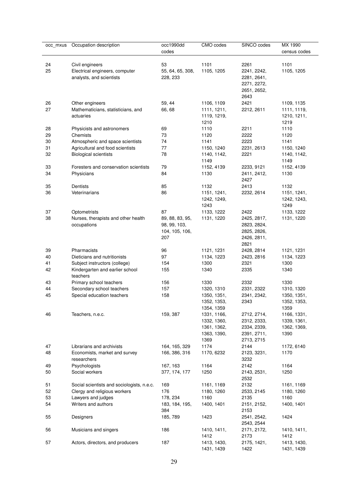| 1101<br>24<br>Civil engineers<br>53<br>2261<br>1101<br>25<br>1105, 1205<br>1105, 1205<br>Electrical engineers, computer<br>55, 64, 65, 308,<br>2241, 2242,<br>analysts, and scientists<br>228, 233<br>2281, 2641,<br>2271, 2272,<br>2651, 2652,<br>2643<br>2421<br>26<br>59, 44<br>1106, 1109<br>Other engineers<br>1109, 1135<br>27<br>Mathematicians, statisticians, and<br>66, 68<br>2212, 2611<br>1111, 1119,<br>1111, 1211,<br>1210, 1211,<br>actuaries<br>1119, 1219,<br>1210<br>1219<br>28<br>69<br>1110<br>2211<br>1110<br>Physicists and astronomers<br>29<br>73<br>1120<br>2222<br>1120<br>Chemists<br>74<br>2223<br>30<br>Atmospheric and space scientists<br>1141<br>1141<br>77<br>31<br>Agricultural and food scientists<br>1150, 1240<br>2231, 2613<br>1150, 1240<br>78<br>32<br><b>Biological scientists</b><br>1140, 1142,<br>2221<br>1140, 1142,<br>1149<br>1149<br>79<br>33<br>Foresters and conservation scientists<br>1152, 4139<br>2233, 9121<br>1152, 4139<br>34<br>Physicians<br>84<br>1130<br>2411, 2412,<br>1130<br>2427<br>35<br>Dentists<br>85<br>1132<br>1132<br>2413<br>86<br>36<br>Veterinarians<br>2232, 2614<br>1151, 1241,<br>1151, 1241,<br>1242, 1249,<br>1242, 1243,<br>1243<br>1249<br>37<br>87<br>1133, 1222<br>2422<br>1133, 1222<br>Optometrists<br>38<br>Nurses, therapists and other health<br>89, 88, 83, 95,<br>1131, 1220<br>2425, 2817,<br>1131, 1220<br>occupations<br>2823, 2824,<br>98, 99, 103,<br>104, 105, 106,<br>2825, 2826,<br>207<br>2426, 2811,<br>2821<br>Pharmacists<br>39<br>96<br>1121, 1231<br>2428, 2814<br>1121, 1231<br>40<br>Dieticians and nutritionists<br>97<br>1134, 1223<br>2423, 2816<br>1134, 1223<br>41<br>Subject instructors (college)<br>154<br>1300<br>2321<br>1300<br>42<br>Kindergarten and earlier school<br>155<br>1340<br>2335<br>1340<br>teachers<br>1330<br>2332<br>1330<br>43<br>Primary school teachers<br>156<br>44<br>Secondary school teachers<br>157<br>1320, 1310<br>2331, 2322<br>1310, 1320<br>45<br>Special education teachers<br>158<br>1350, 1351,<br>2341, 2342,<br>1350, 1351,<br>1352, 1353,<br>2343<br>1352, 1353,<br>1359<br>1354, 1359<br>46<br>159, 387<br>1166, 1331,<br>Teachers, n.e.c.<br>1331, 1166,<br>2712, 2714,<br>1332, 1360,<br>2312, 2333,<br>1339, 1361,<br>2334, 2339,<br>1361, 1362,<br>1362, 1369,<br>1390<br>1363, 1390,<br>2391, 2711,<br>1369<br>2713, 2715<br>1174<br>47<br>Librarians and archivists<br>164, 165, 329<br>2144<br>1172, 6140<br>48<br>166, 386, 316<br>1170<br>Economists, market and survey<br>1170, 6232<br>2123, 3231,<br>researchers<br>3232<br>49<br>Psychologists<br>167, 163<br>1164<br>2142<br>1164<br>1250<br>50<br>Social workers<br>377, 174, 177<br>1250<br>2143, 2531,<br>2532<br>51<br>Social scientists and sociologists, n.e.c.<br>2132<br>169<br>1161, 1169<br>1161, 1169<br>52<br>176<br>Clergy and religious workers<br>1180, 1260<br>2533, 2145<br>1180, 1260<br>53<br>Lawyers and judges<br>1160<br>2135<br>1160<br>178, 234<br>54<br>Writers and authors<br>1400, 1401<br>1400, 1401<br>183, 184, 195,<br>2151, 2152,<br>384<br>2153<br>55<br>185, 789<br>1423<br>2541, 2542,<br>1424<br>Designers<br>2543, 2544<br>56<br>186<br>Musicians and singers<br>1410, 1411,<br>2171, 2172,<br>1410, 1411,<br>1412<br>2173<br>1412<br>57<br>187<br>2175, 1421,<br>1413, 1430,<br>Actors, directors, and producers<br>1413, 1430, | occ_mxus | Occupation description | occ1990dd<br>codes | CMO codes  | SINCO codes | MX 1990<br>census codes |
|---------------------------------------------------------------------------------------------------------------------------------------------------------------------------------------------------------------------------------------------------------------------------------------------------------------------------------------------------------------------------------------------------------------------------------------------------------------------------------------------------------------------------------------------------------------------------------------------------------------------------------------------------------------------------------------------------------------------------------------------------------------------------------------------------------------------------------------------------------------------------------------------------------------------------------------------------------------------------------------------------------------------------------------------------------------------------------------------------------------------------------------------------------------------------------------------------------------------------------------------------------------------------------------------------------------------------------------------------------------------------------------------------------------------------------------------------------------------------------------------------------------------------------------------------------------------------------------------------------------------------------------------------------------------------------------------------------------------------------------------------------------------------------------------------------------------------------------------------------------------------------------------------------------------------------------------------------------------------------------------------------------------------------------------------------------------------------------------------------------------------------------------------------------------------------------------------------------------------------------------------------------------------------------------------------------------------------------------------------------------------------------------------------------------------------------------------------------------------------------------------------------------------------------------------------------------------------------------------------------------------------------------------------------------------------------------------------------------------------------------------------------------------------------------------------------------------------------------------------------------------------------------------------------------------------------------------------------------------------------------------------------------------------------------------------------------------------------------------------------------------------------------------------------------------------------------------------------------------------------------------------------------------------------------------------------------------------------------------------------------------------------------|----------|------------------------|--------------------|------------|-------------|-------------------------|
|                                                                                                                                                                                                                                                                                                                                                                                                                                                                                                                                                                                                                                                                                                                                                                                                                                                                                                                                                                                                                                                                                                                                                                                                                                                                                                                                                                                                                                                                                                                                                                                                                                                                                                                                                                                                                                                                                                                                                                                                                                                                                                                                                                                                                                                                                                                                                                                                                                                                                                                                                                                                                                                                                                                                                                                                                                                                                                                                                                                                                                                                                                                                                                                                                                                                                                                                                                                             |          |                        |                    |            |             |                         |
|                                                                                                                                                                                                                                                                                                                                                                                                                                                                                                                                                                                                                                                                                                                                                                                                                                                                                                                                                                                                                                                                                                                                                                                                                                                                                                                                                                                                                                                                                                                                                                                                                                                                                                                                                                                                                                                                                                                                                                                                                                                                                                                                                                                                                                                                                                                                                                                                                                                                                                                                                                                                                                                                                                                                                                                                                                                                                                                                                                                                                                                                                                                                                                                                                                                                                                                                                                                             |          |                        |                    |            |             |                         |
|                                                                                                                                                                                                                                                                                                                                                                                                                                                                                                                                                                                                                                                                                                                                                                                                                                                                                                                                                                                                                                                                                                                                                                                                                                                                                                                                                                                                                                                                                                                                                                                                                                                                                                                                                                                                                                                                                                                                                                                                                                                                                                                                                                                                                                                                                                                                                                                                                                                                                                                                                                                                                                                                                                                                                                                                                                                                                                                                                                                                                                                                                                                                                                                                                                                                                                                                                                                             |          |                        |                    |            |             |                         |
|                                                                                                                                                                                                                                                                                                                                                                                                                                                                                                                                                                                                                                                                                                                                                                                                                                                                                                                                                                                                                                                                                                                                                                                                                                                                                                                                                                                                                                                                                                                                                                                                                                                                                                                                                                                                                                                                                                                                                                                                                                                                                                                                                                                                                                                                                                                                                                                                                                                                                                                                                                                                                                                                                                                                                                                                                                                                                                                                                                                                                                                                                                                                                                                                                                                                                                                                                                                             |          |                        |                    |            |             |                         |
|                                                                                                                                                                                                                                                                                                                                                                                                                                                                                                                                                                                                                                                                                                                                                                                                                                                                                                                                                                                                                                                                                                                                                                                                                                                                                                                                                                                                                                                                                                                                                                                                                                                                                                                                                                                                                                                                                                                                                                                                                                                                                                                                                                                                                                                                                                                                                                                                                                                                                                                                                                                                                                                                                                                                                                                                                                                                                                                                                                                                                                                                                                                                                                                                                                                                                                                                                                                             |          |                        |                    |            |             |                         |
|                                                                                                                                                                                                                                                                                                                                                                                                                                                                                                                                                                                                                                                                                                                                                                                                                                                                                                                                                                                                                                                                                                                                                                                                                                                                                                                                                                                                                                                                                                                                                                                                                                                                                                                                                                                                                                                                                                                                                                                                                                                                                                                                                                                                                                                                                                                                                                                                                                                                                                                                                                                                                                                                                                                                                                                                                                                                                                                                                                                                                                                                                                                                                                                                                                                                                                                                                                                             |          |                        |                    |            |             |                         |
|                                                                                                                                                                                                                                                                                                                                                                                                                                                                                                                                                                                                                                                                                                                                                                                                                                                                                                                                                                                                                                                                                                                                                                                                                                                                                                                                                                                                                                                                                                                                                                                                                                                                                                                                                                                                                                                                                                                                                                                                                                                                                                                                                                                                                                                                                                                                                                                                                                                                                                                                                                                                                                                                                                                                                                                                                                                                                                                                                                                                                                                                                                                                                                                                                                                                                                                                                                                             |          |                        |                    |            |             |                         |
|                                                                                                                                                                                                                                                                                                                                                                                                                                                                                                                                                                                                                                                                                                                                                                                                                                                                                                                                                                                                                                                                                                                                                                                                                                                                                                                                                                                                                                                                                                                                                                                                                                                                                                                                                                                                                                                                                                                                                                                                                                                                                                                                                                                                                                                                                                                                                                                                                                                                                                                                                                                                                                                                                                                                                                                                                                                                                                                                                                                                                                                                                                                                                                                                                                                                                                                                                                                             |          |                        |                    |            |             |                         |
|                                                                                                                                                                                                                                                                                                                                                                                                                                                                                                                                                                                                                                                                                                                                                                                                                                                                                                                                                                                                                                                                                                                                                                                                                                                                                                                                                                                                                                                                                                                                                                                                                                                                                                                                                                                                                                                                                                                                                                                                                                                                                                                                                                                                                                                                                                                                                                                                                                                                                                                                                                                                                                                                                                                                                                                                                                                                                                                                                                                                                                                                                                                                                                                                                                                                                                                                                                                             |          |                        |                    |            |             |                         |
|                                                                                                                                                                                                                                                                                                                                                                                                                                                                                                                                                                                                                                                                                                                                                                                                                                                                                                                                                                                                                                                                                                                                                                                                                                                                                                                                                                                                                                                                                                                                                                                                                                                                                                                                                                                                                                                                                                                                                                                                                                                                                                                                                                                                                                                                                                                                                                                                                                                                                                                                                                                                                                                                                                                                                                                                                                                                                                                                                                                                                                                                                                                                                                                                                                                                                                                                                                                             |          |                        |                    |            |             |                         |
|                                                                                                                                                                                                                                                                                                                                                                                                                                                                                                                                                                                                                                                                                                                                                                                                                                                                                                                                                                                                                                                                                                                                                                                                                                                                                                                                                                                                                                                                                                                                                                                                                                                                                                                                                                                                                                                                                                                                                                                                                                                                                                                                                                                                                                                                                                                                                                                                                                                                                                                                                                                                                                                                                                                                                                                                                                                                                                                                                                                                                                                                                                                                                                                                                                                                                                                                                                                             |          |                        |                    |            |             |                         |
|                                                                                                                                                                                                                                                                                                                                                                                                                                                                                                                                                                                                                                                                                                                                                                                                                                                                                                                                                                                                                                                                                                                                                                                                                                                                                                                                                                                                                                                                                                                                                                                                                                                                                                                                                                                                                                                                                                                                                                                                                                                                                                                                                                                                                                                                                                                                                                                                                                                                                                                                                                                                                                                                                                                                                                                                                                                                                                                                                                                                                                                                                                                                                                                                                                                                                                                                                                                             |          |                        |                    |            |             |                         |
|                                                                                                                                                                                                                                                                                                                                                                                                                                                                                                                                                                                                                                                                                                                                                                                                                                                                                                                                                                                                                                                                                                                                                                                                                                                                                                                                                                                                                                                                                                                                                                                                                                                                                                                                                                                                                                                                                                                                                                                                                                                                                                                                                                                                                                                                                                                                                                                                                                                                                                                                                                                                                                                                                                                                                                                                                                                                                                                                                                                                                                                                                                                                                                                                                                                                                                                                                                                             |          |                        |                    |            |             |                         |
|                                                                                                                                                                                                                                                                                                                                                                                                                                                                                                                                                                                                                                                                                                                                                                                                                                                                                                                                                                                                                                                                                                                                                                                                                                                                                                                                                                                                                                                                                                                                                                                                                                                                                                                                                                                                                                                                                                                                                                                                                                                                                                                                                                                                                                                                                                                                                                                                                                                                                                                                                                                                                                                                                                                                                                                                                                                                                                                                                                                                                                                                                                                                                                                                                                                                                                                                                                                             |          |                        |                    |            |             |                         |
|                                                                                                                                                                                                                                                                                                                                                                                                                                                                                                                                                                                                                                                                                                                                                                                                                                                                                                                                                                                                                                                                                                                                                                                                                                                                                                                                                                                                                                                                                                                                                                                                                                                                                                                                                                                                                                                                                                                                                                                                                                                                                                                                                                                                                                                                                                                                                                                                                                                                                                                                                                                                                                                                                                                                                                                                                                                                                                                                                                                                                                                                                                                                                                                                                                                                                                                                                                                             |          |                        |                    |            |             |                         |
|                                                                                                                                                                                                                                                                                                                                                                                                                                                                                                                                                                                                                                                                                                                                                                                                                                                                                                                                                                                                                                                                                                                                                                                                                                                                                                                                                                                                                                                                                                                                                                                                                                                                                                                                                                                                                                                                                                                                                                                                                                                                                                                                                                                                                                                                                                                                                                                                                                                                                                                                                                                                                                                                                                                                                                                                                                                                                                                                                                                                                                                                                                                                                                                                                                                                                                                                                                                             |          |                        |                    |            |             |                         |
|                                                                                                                                                                                                                                                                                                                                                                                                                                                                                                                                                                                                                                                                                                                                                                                                                                                                                                                                                                                                                                                                                                                                                                                                                                                                                                                                                                                                                                                                                                                                                                                                                                                                                                                                                                                                                                                                                                                                                                                                                                                                                                                                                                                                                                                                                                                                                                                                                                                                                                                                                                                                                                                                                                                                                                                                                                                                                                                                                                                                                                                                                                                                                                                                                                                                                                                                                                                             |          |                        |                    |            |             |                         |
|                                                                                                                                                                                                                                                                                                                                                                                                                                                                                                                                                                                                                                                                                                                                                                                                                                                                                                                                                                                                                                                                                                                                                                                                                                                                                                                                                                                                                                                                                                                                                                                                                                                                                                                                                                                                                                                                                                                                                                                                                                                                                                                                                                                                                                                                                                                                                                                                                                                                                                                                                                                                                                                                                                                                                                                                                                                                                                                                                                                                                                                                                                                                                                                                                                                                                                                                                                                             |          |                        |                    |            |             |                         |
|                                                                                                                                                                                                                                                                                                                                                                                                                                                                                                                                                                                                                                                                                                                                                                                                                                                                                                                                                                                                                                                                                                                                                                                                                                                                                                                                                                                                                                                                                                                                                                                                                                                                                                                                                                                                                                                                                                                                                                                                                                                                                                                                                                                                                                                                                                                                                                                                                                                                                                                                                                                                                                                                                                                                                                                                                                                                                                                                                                                                                                                                                                                                                                                                                                                                                                                                                                                             |          |                        |                    |            |             |                         |
|                                                                                                                                                                                                                                                                                                                                                                                                                                                                                                                                                                                                                                                                                                                                                                                                                                                                                                                                                                                                                                                                                                                                                                                                                                                                                                                                                                                                                                                                                                                                                                                                                                                                                                                                                                                                                                                                                                                                                                                                                                                                                                                                                                                                                                                                                                                                                                                                                                                                                                                                                                                                                                                                                                                                                                                                                                                                                                                                                                                                                                                                                                                                                                                                                                                                                                                                                                                             |          |                        |                    |            |             |                         |
|                                                                                                                                                                                                                                                                                                                                                                                                                                                                                                                                                                                                                                                                                                                                                                                                                                                                                                                                                                                                                                                                                                                                                                                                                                                                                                                                                                                                                                                                                                                                                                                                                                                                                                                                                                                                                                                                                                                                                                                                                                                                                                                                                                                                                                                                                                                                                                                                                                                                                                                                                                                                                                                                                                                                                                                                                                                                                                                                                                                                                                                                                                                                                                                                                                                                                                                                                                                             |          |                        |                    |            |             |                         |
|                                                                                                                                                                                                                                                                                                                                                                                                                                                                                                                                                                                                                                                                                                                                                                                                                                                                                                                                                                                                                                                                                                                                                                                                                                                                                                                                                                                                                                                                                                                                                                                                                                                                                                                                                                                                                                                                                                                                                                                                                                                                                                                                                                                                                                                                                                                                                                                                                                                                                                                                                                                                                                                                                                                                                                                                                                                                                                                                                                                                                                                                                                                                                                                                                                                                                                                                                                                             |          |                        |                    |            |             |                         |
|                                                                                                                                                                                                                                                                                                                                                                                                                                                                                                                                                                                                                                                                                                                                                                                                                                                                                                                                                                                                                                                                                                                                                                                                                                                                                                                                                                                                                                                                                                                                                                                                                                                                                                                                                                                                                                                                                                                                                                                                                                                                                                                                                                                                                                                                                                                                                                                                                                                                                                                                                                                                                                                                                                                                                                                                                                                                                                                                                                                                                                                                                                                                                                                                                                                                                                                                                                                             |          |                        |                    |            |             |                         |
|                                                                                                                                                                                                                                                                                                                                                                                                                                                                                                                                                                                                                                                                                                                                                                                                                                                                                                                                                                                                                                                                                                                                                                                                                                                                                                                                                                                                                                                                                                                                                                                                                                                                                                                                                                                                                                                                                                                                                                                                                                                                                                                                                                                                                                                                                                                                                                                                                                                                                                                                                                                                                                                                                                                                                                                                                                                                                                                                                                                                                                                                                                                                                                                                                                                                                                                                                                                             |          |                        |                    |            |             |                         |
|                                                                                                                                                                                                                                                                                                                                                                                                                                                                                                                                                                                                                                                                                                                                                                                                                                                                                                                                                                                                                                                                                                                                                                                                                                                                                                                                                                                                                                                                                                                                                                                                                                                                                                                                                                                                                                                                                                                                                                                                                                                                                                                                                                                                                                                                                                                                                                                                                                                                                                                                                                                                                                                                                                                                                                                                                                                                                                                                                                                                                                                                                                                                                                                                                                                                                                                                                                                             |          |                        |                    |            |             |                         |
|                                                                                                                                                                                                                                                                                                                                                                                                                                                                                                                                                                                                                                                                                                                                                                                                                                                                                                                                                                                                                                                                                                                                                                                                                                                                                                                                                                                                                                                                                                                                                                                                                                                                                                                                                                                                                                                                                                                                                                                                                                                                                                                                                                                                                                                                                                                                                                                                                                                                                                                                                                                                                                                                                                                                                                                                                                                                                                                                                                                                                                                                                                                                                                                                                                                                                                                                                                                             |          |                        |                    |            |             |                         |
|                                                                                                                                                                                                                                                                                                                                                                                                                                                                                                                                                                                                                                                                                                                                                                                                                                                                                                                                                                                                                                                                                                                                                                                                                                                                                                                                                                                                                                                                                                                                                                                                                                                                                                                                                                                                                                                                                                                                                                                                                                                                                                                                                                                                                                                                                                                                                                                                                                                                                                                                                                                                                                                                                                                                                                                                                                                                                                                                                                                                                                                                                                                                                                                                                                                                                                                                                                                             |          |                        |                    |            |             |                         |
|                                                                                                                                                                                                                                                                                                                                                                                                                                                                                                                                                                                                                                                                                                                                                                                                                                                                                                                                                                                                                                                                                                                                                                                                                                                                                                                                                                                                                                                                                                                                                                                                                                                                                                                                                                                                                                                                                                                                                                                                                                                                                                                                                                                                                                                                                                                                                                                                                                                                                                                                                                                                                                                                                                                                                                                                                                                                                                                                                                                                                                                                                                                                                                                                                                                                                                                                                                                             |          |                        |                    |            |             |                         |
|                                                                                                                                                                                                                                                                                                                                                                                                                                                                                                                                                                                                                                                                                                                                                                                                                                                                                                                                                                                                                                                                                                                                                                                                                                                                                                                                                                                                                                                                                                                                                                                                                                                                                                                                                                                                                                                                                                                                                                                                                                                                                                                                                                                                                                                                                                                                                                                                                                                                                                                                                                                                                                                                                                                                                                                                                                                                                                                                                                                                                                                                                                                                                                                                                                                                                                                                                                                             |          |                        |                    |            |             |                         |
|                                                                                                                                                                                                                                                                                                                                                                                                                                                                                                                                                                                                                                                                                                                                                                                                                                                                                                                                                                                                                                                                                                                                                                                                                                                                                                                                                                                                                                                                                                                                                                                                                                                                                                                                                                                                                                                                                                                                                                                                                                                                                                                                                                                                                                                                                                                                                                                                                                                                                                                                                                                                                                                                                                                                                                                                                                                                                                                                                                                                                                                                                                                                                                                                                                                                                                                                                                                             |          |                        |                    |            |             |                         |
|                                                                                                                                                                                                                                                                                                                                                                                                                                                                                                                                                                                                                                                                                                                                                                                                                                                                                                                                                                                                                                                                                                                                                                                                                                                                                                                                                                                                                                                                                                                                                                                                                                                                                                                                                                                                                                                                                                                                                                                                                                                                                                                                                                                                                                                                                                                                                                                                                                                                                                                                                                                                                                                                                                                                                                                                                                                                                                                                                                                                                                                                                                                                                                                                                                                                                                                                                                                             |          |                        |                    |            |             |                         |
|                                                                                                                                                                                                                                                                                                                                                                                                                                                                                                                                                                                                                                                                                                                                                                                                                                                                                                                                                                                                                                                                                                                                                                                                                                                                                                                                                                                                                                                                                                                                                                                                                                                                                                                                                                                                                                                                                                                                                                                                                                                                                                                                                                                                                                                                                                                                                                                                                                                                                                                                                                                                                                                                                                                                                                                                                                                                                                                                                                                                                                                                                                                                                                                                                                                                                                                                                                                             |          |                        |                    |            |             |                         |
|                                                                                                                                                                                                                                                                                                                                                                                                                                                                                                                                                                                                                                                                                                                                                                                                                                                                                                                                                                                                                                                                                                                                                                                                                                                                                                                                                                                                                                                                                                                                                                                                                                                                                                                                                                                                                                                                                                                                                                                                                                                                                                                                                                                                                                                                                                                                                                                                                                                                                                                                                                                                                                                                                                                                                                                                                                                                                                                                                                                                                                                                                                                                                                                                                                                                                                                                                                                             |          |                        |                    |            |             |                         |
|                                                                                                                                                                                                                                                                                                                                                                                                                                                                                                                                                                                                                                                                                                                                                                                                                                                                                                                                                                                                                                                                                                                                                                                                                                                                                                                                                                                                                                                                                                                                                                                                                                                                                                                                                                                                                                                                                                                                                                                                                                                                                                                                                                                                                                                                                                                                                                                                                                                                                                                                                                                                                                                                                                                                                                                                                                                                                                                                                                                                                                                                                                                                                                                                                                                                                                                                                                                             |          |                        |                    |            |             |                         |
|                                                                                                                                                                                                                                                                                                                                                                                                                                                                                                                                                                                                                                                                                                                                                                                                                                                                                                                                                                                                                                                                                                                                                                                                                                                                                                                                                                                                                                                                                                                                                                                                                                                                                                                                                                                                                                                                                                                                                                                                                                                                                                                                                                                                                                                                                                                                                                                                                                                                                                                                                                                                                                                                                                                                                                                                                                                                                                                                                                                                                                                                                                                                                                                                                                                                                                                                                                                             |          |                        |                    |            |             |                         |
|                                                                                                                                                                                                                                                                                                                                                                                                                                                                                                                                                                                                                                                                                                                                                                                                                                                                                                                                                                                                                                                                                                                                                                                                                                                                                                                                                                                                                                                                                                                                                                                                                                                                                                                                                                                                                                                                                                                                                                                                                                                                                                                                                                                                                                                                                                                                                                                                                                                                                                                                                                                                                                                                                                                                                                                                                                                                                                                                                                                                                                                                                                                                                                                                                                                                                                                                                                                             |          |                        |                    |            |             |                         |
|                                                                                                                                                                                                                                                                                                                                                                                                                                                                                                                                                                                                                                                                                                                                                                                                                                                                                                                                                                                                                                                                                                                                                                                                                                                                                                                                                                                                                                                                                                                                                                                                                                                                                                                                                                                                                                                                                                                                                                                                                                                                                                                                                                                                                                                                                                                                                                                                                                                                                                                                                                                                                                                                                                                                                                                                                                                                                                                                                                                                                                                                                                                                                                                                                                                                                                                                                                                             |          |                        |                    |            |             |                         |
|                                                                                                                                                                                                                                                                                                                                                                                                                                                                                                                                                                                                                                                                                                                                                                                                                                                                                                                                                                                                                                                                                                                                                                                                                                                                                                                                                                                                                                                                                                                                                                                                                                                                                                                                                                                                                                                                                                                                                                                                                                                                                                                                                                                                                                                                                                                                                                                                                                                                                                                                                                                                                                                                                                                                                                                                                                                                                                                                                                                                                                                                                                                                                                                                                                                                                                                                                                                             |          |                        |                    |            |             |                         |
|                                                                                                                                                                                                                                                                                                                                                                                                                                                                                                                                                                                                                                                                                                                                                                                                                                                                                                                                                                                                                                                                                                                                                                                                                                                                                                                                                                                                                                                                                                                                                                                                                                                                                                                                                                                                                                                                                                                                                                                                                                                                                                                                                                                                                                                                                                                                                                                                                                                                                                                                                                                                                                                                                                                                                                                                                                                                                                                                                                                                                                                                                                                                                                                                                                                                                                                                                                                             |          |                        |                    |            |             |                         |
|                                                                                                                                                                                                                                                                                                                                                                                                                                                                                                                                                                                                                                                                                                                                                                                                                                                                                                                                                                                                                                                                                                                                                                                                                                                                                                                                                                                                                                                                                                                                                                                                                                                                                                                                                                                                                                                                                                                                                                                                                                                                                                                                                                                                                                                                                                                                                                                                                                                                                                                                                                                                                                                                                                                                                                                                                                                                                                                                                                                                                                                                                                                                                                                                                                                                                                                                                                                             |          |                        |                    |            |             |                         |
|                                                                                                                                                                                                                                                                                                                                                                                                                                                                                                                                                                                                                                                                                                                                                                                                                                                                                                                                                                                                                                                                                                                                                                                                                                                                                                                                                                                                                                                                                                                                                                                                                                                                                                                                                                                                                                                                                                                                                                                                                                                                                                                                                                                                                                                                                                                                                                                                                                                                                                                                                                                                                                                                                                                                                                                                                                                                                                                                                                                                                                                                                                                                                                                                                                                                                                                                                                                             |          |                        |                    |            |             |                         |
|                                                                                                                                                                                                                                                                                                                                                                                                                                                                                                                                                                                                                                                                                                                                                                                                                                                                                                                                                                                                                                                                                                                                                                                                                                                                                                                                                                                                                                                                                                                                                                                                                                                                                                                                                                                                                                                                                                                                                                                                                                                                                                                                                                                                                                                                                                                                                                                                                                                                                                                                                                                                                                                                                                                                                                                                                                                                                                                                                                                                                                                                                                                                                                                                                                                                                                                                                                                             |          |                        |                    |            |             |                         |
|                                                                                                                                                                                                                                                                                                                                                                                                                                                                                                                                                                                                                                                                                                                                                                                                                                                                                                                                                                                                                                                                                                                                                                                                                                                                                                                                                                                                                                                                                                                                                                                                                                                                                                                                                                                                                                                                                                                                                                                                                                                                                                                                                                                                                                                                                                                                                                                                                                                                                                                                                                                                                                                                                                                                                                                                                                                                                                                                                                                                                                                                                                                                                                                                                                                                                                                                                                                             |          |                        |                    |            |             |                         |
|                                                                                                                                                                                                                                                                                                                                                                                                                                                                                                                                                                                                                                                                                                                                                                                                                                                                                                                                                                                                                                                                                                                                                                                                                                                                                                                                                                                                                                                                                                                                                                                                                                                                                                                                                                                                                                                                                                                                                                                                                                                                                                                                                                                                                                                                                                                                                                                                                                                                                                                                                                                                                                                                                                                                                                                                                                                                                                                                                                                                                                                                                                                                                                                                                                                                                                                                                                                             |          |                        |                    |            |             |                         |
|                                                                                                                                                                                                                                                                                                                                                                                                                                                                                                                                                                                                                                                                                                                                                                                                                                                                                                                                                                                                                                                                                                                                                                                                                                                                                                                                                                                                                                                                                                                                                                                                                                                                                                                                                                                                                                                                                                                                                                                                                                                                                                                                                                                                                                                                                                                                                                                                                                                                                                                                                                                                                                                                                                                                                                                                                                                                                                                                                                                                                                                                                                                                                                                                                                                                                                                                                                                             |          |                        |                    |            |             |                         |
|                                                                                                                                                                                                                                                                                                                                                                                                                                                                                                                                                                                                                                                                                                                                                                                                                                                                                                                                                                                                                                                                                                                                                                                                                                                                                                                                                                                                                                                                                                                                                                                                                                                                                                                                                                                                                                                                                                                                                                                                                                                                                                                                                                                                                                                                                                                                                                                                                                                                                                                                                                                                                                                                                                                                                                                                                                                                                                                                                                                                                                                                                                                                                                                                                                                                                                                                                                                             |          |                        |                    |            |             |                         |
|                                                                                                                                                                                                                                                                                                                                                                                                                                                                                                                                                                                                                                                                                                                                                                                                                                                                                                                                                                                                                                                                                                                                                                                                                                                                                                                                                                                                                                                                                                                                                                                                                                                                                                                                                                                                                                                                                                                                                                                                                                                                                                                                                                                                                                                                                                                                                                                                                                                                                                                                                                                                                                                                                                                                                                                                                                                                                                                                                                                                                                                                                                                                                                                                                                                                                                                                                                                             |          |                        |                    |            |             |                         |
|                                                                                                                                                                                                                                                                                                                                                                                                                                                                                                                                                                                                                                                                                                                                                                                                                                                                                                                                                                                                                                                                                                                                                                                                                                                                                                                                                                                                                                                                                                                                                                                                                                                                                                                                                                                                                                                                                                                                                                                                                                                                                                                                                                                                                                                                                                                                                                                                                                                                                                                                                                                                                                                                                                                                                                                                                                                                                                                                                                                                                                                                                                                                                                                                                                                                                                                                                                                             |          |                        |                    |            |             |                         |
|                                                                                                                                                                                                                                                                                                                                                                                                                                                                                                                                                                                                                                                                                                                                                                                                                                                                                                                                                                                                                                                                                                                                                                                                                                                                                                                                                                                                                                                                                                                                                                                                                                                                                                                                                                                                                                                                                                                                                                                                                                                                                                                                                                                                                                                                                                                                                                                                                                                                                                                                                                                                                                                                                                                                                                                                                                                                                                                                                                                                                                                                                                                                                                                                                                                                                                                                                                                             |          |                        |                    |            |             |                         |
|                                                                                                                                                                                                                                                                                                                                                                                                                                                                                                                                                                                                                                                                                                                                                                                                                                                                                                                                                                                                                                                                                                                                                                                                                                                                                                                                                                                                                                                                                                                                                                                                                                                                                                                                                                                                                                                                                                                                                                                                                                                                                                                                                                                                                                                                                                                                                                                                                                                                                                                                                                                                                                                                                                                                                                                                                                                                                                                                                                                                                                                                                                                                                                                                                                                                                                                                                                                             |          |                        |                    |            |             |                         |
|                                                                                                                                                                                                                                                                                                                                                                                                                                                                                                                                                                                                                                                                                                                                                                                                                                                                                                                                                                                                                                                                                                                                                                                                                                                                                                                                                                                                                                                                                                                                                                                                                                                                                                                                                                                                                                                                                                                                                                                                                                                                                                                                                                                                                                                                                                                                                                                                                                                                                                                                                                                                                                                                                                                                                                                                                                                                                                                                                                                                                                                                                                                                                                                                                                                                                                                                                                                             |          |                        |                    |            |             |                         |
|                                                                                                                                                                                                                                                                                                                                                                                                                                                                                                                                                                                                                                                                                                                                                                                                                                                                                                                                                                                                                                                                                                                                                                                                                                                                                                                                                                                                                                                                                                                                                                                                                                                                                                                                                                                                                                                                                                                                                                                                                                                                                                                                                                                                                                                                                                                                                                                                                                                                                                                                                                                                                                                                                                                                                                                                                                                                                                                                                                                                                                                                                                                                                                                                                                                                                                                                                                                             |          |                        |                    |            |             |                         |
|                                                                                                                                                                                                                                                                                                                                                                                                                                                                                                                                                                                                                                                                                                                                                                                                                                                                                                                                                                                                                                                                                                                                                                                                                                                                                                                                                                                                                                                                                                                                                                                                                                                                                                                                                                                                                                                                                                                                                                                                                                                                                                                                                                                                                                                                                                                                                                                                                                                                                                                                                                                                                                                                                                                                                                                                                                                                                                                                                                                                                                                                                                                                                                                                                                                                                                                                                                                             |          |                        |                    |            |             |                         |
|                                                                                                                                                                                                                                                                                                                                                                                                                                                                                                                                                                                                                                                                                                                                                                                                                                                                                                                                                                                                                                                                                                                                                                                                                                                                                                                                                                                                                                                                                                                                                                                                                                                                                                                                                                                                                                                                                                                                                                                                                                                                                                                                                                                                                                                                                                                                                                                                                                                                                                                                                                                                                                                                                                                                                                                                                                                                                                                                                                                                                                                                                                                                                                                                                                                                                                                                                                                             |          |                        |                    |            |             |                         |
|                                                                                                                                                                                                                                                                                                                                                                                                                                                                                                                                                                                                                                                                                                                                                                                                                                                                                                                                                                                                                                                                                                                                                                                                                                                                                                                                                                                                                                                                                                                                                                                                                                                                                                                                                                                                                                                                                                                                                                                                                                                                                                                                                                                                                                                                                                                                                                                                                                                                                                                                                                                                                                                                                                                                                                                                                                                                                                                                                                                                                                                                                                                                                                                                                                                                                                                                                                                             |          |                        |                    |            |             |                         |
|                                                                                                                                                                                                                                                                                                                                                                                                                                                                                                                                                                                                                                                                                                                                                                                                                                                                                                                                                                                                                                                                                                                                                                                                                                                                                                                                                                                                                                                                                                                                                                                                                                                                                                                                                                                                                                                                                                                                                                                                                                                                                                                                                                                                                                                                                                                                                                                                                                                                                                                                                                                                                                                                                                                                                                                                                                                                                                                                                                                                                                                                                                                                                                                                                                                                                                                                                                                             |          |                        |                    | 1431, 1439 | 1422        | 1431, 1439              |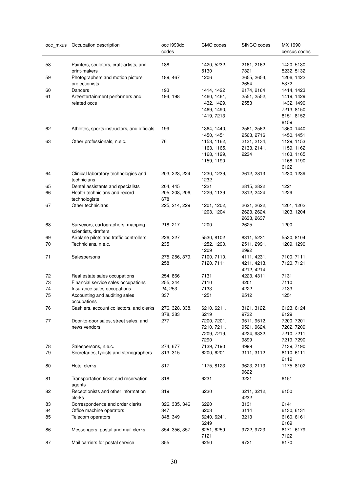| occ_mxus | Occupation description                                  | occ1990dd      | CMO codes   | SINCO codes | MX 1990      |
|----------|---------------------------------------------------------|----------------|-------------|-------------|--------------|
|          |                                                         | codes          |             |             | census codes |
|          |                                                         |                |             |             |              |
| 58       | Painters, sculptors, craft-artists, and                 | 188            | 1420, 5232, | 2161, 2162, | 1420, 5130,  |
|          | print-makers                                            |                | 5130        | 7321        | 5232, 5132   |
| 59       | Photographers and motion picture                        | 189, 467       | 1206        | 2655, 2653, | 1206, 1422,  |
|          | projectionists                                          |                |             | 2654        | 5372         |
| 60       | Dancers                                                 | 193            | 1414, 1422  | 2174, 2164  | 1414, 1423   |
| 61       | Art/entertainment performers and                        | 194, 198       | 1460, 1461, | 2551, 2552, | 1419, 1429,  |
|          | related occs                                            |                | 1432, 1429, | 2553        | 1432, 1490,  |
|          |                                                         |                | 1469, 1490, |             | 7213, 8150,  |
|          |                                                         |                | 1419, 7213  |             | 8151, 8152,  |
|          |                                                         |                |             |             | 8159         |
| 62       | Athletes, sports instructors, and officials             | 199            | 1364, 1440, | 2561, 2562, | 1360, 1440,  |
|          |                                                         |                | 1450, 1451  | 2563, 2716  | 1450, 1451   |
| 63       | Other professionals, n.e.c.                             | 76             | 1153, 1162, | 2131, 2134, | 1129, 1153,  |
|          |                                                         |                | 1163, 1165, | 2133, 2141, | 1159, 1162,  |
|          |                                                         |                | 1168, 1129, | 2234        | 1163, 1165,  |
|          |                                                         |                | 1159, 1190  |             | 1168, 1190,  |
|          |                                                         |                |             |             | 6122         |
| 64       | Clinical laboratory technologies and                    | 203, 223, 224  | 1230, 1239, | 2612, 2813  | 1230, 1239   |
|          | technicians                                             |                | 1232        |             |              |
| 65       | Dental assistants and specialists                       | 204, 445       | 1221        | 2815, 2822  | 1221         |
| 66       | Health technicians and record                           | 205, 208, 206, | 1229, 1139  | 2812, 2424  | 1229         |
|          | technologists                                           | 678            |             |             |              |
| 67       | Other technicians                                       | 225, 214, 229  | 1201, 1202, | 2621, 2622, | 1201, 1202,  |
|          |                                                         |                | 1203, 1204  | 2623, 2624, | 1203, 1204   |
|          |                                                         |                |             | 2633, 2637  |              |
| 68       | Surveyors, cartographers, mapping                       | 218, 217       | 1200        | 2625        | 1200         |
|          | scientists, drafters                                    |                |             |             |              |
| 69       | Airplane pilots and traffic controllers                 | 226, 227       | 5530, 8102  | 8311, 5231  | 5530, 8104   |
| 70       | Technicians, n.e.c.                                     | 235            | 1252, 1290, | 2511, 2991, | 1209, 1290   |
|          |                                                         |                | 1209        | 2992        |              |
| 71       | Salespersons                                            | 275, 256, 379, | 7100, 7110, | 4111, 4231, | 7100, 7111,  |
|          |                                                         | 258            | 7120, 7111  | 4211, 4213, | 7120, 7121   |
|          |                                                         |                |             | 4212, 4214  |              |
| 72       | Real estate sales occupations                           | 254, 866       | 7131        | 4223, 4311  | 7131         |
| 73<br>74 | Financial service sales occupations                     | 255, 344       | 7110        | 4201        | 7110         |
| 75       | Insurance sales occupations                             | 24, 253        | 7133        | 4222        | 7133         |
|          | Accounting and auditing sales                           | 337            | 1251        | 2512        | 1251         |
| 76       | occupations<br>Cashiers, account collectors, and clerks | 276, 328, 338, | 6210, 6211, | 3121, 3122, | 6123, 6124,  |
|          |                                                         | 378, 383       | 6219        | 9732        | 6129         |
| 77       | Door-to-door sales, street sales, and                   | 277            | 7200, 7201, | 9511, 9512, | 7200, 7201,  |
|          | news vendors                                            |                | 7210, 7211, | 9521, 9624, | 7202, 7209,  |
|          |                                                         |                | 7209, 7219, | 4224, 9332, | 7210, 7211,  |
|          |                                                         |                | 7290        | 9899        | 7219, 7290   |
| 78       | Salespersons, n.e.c.                                    | 274, 677       | 7139, 7190  | 4999        | 7139, 7190   |
| 79       | Secretaries, typists and stenographers                  | 313, 315       | 6200, 6201  | 3111, 3112  | 6110, 6111,  |
|          |                                                         |                |             |             | 6112         |
| 80       | Hotel clerks                                            | 317            | 1175, 8123  | 9623, 2113, | 1175, 8102   |
|          |                                                         |                |             | 9622        |              |
| 81       | Transportation ticket and reservation                   | 318            | 6231        | 3221        | 6151         |
|          | agents                                                  |                |             |             |              |
| 82       | Receptionists and other information                     | 319            | 6230        | 3211, 3212, | 6150         |
|          | clerks                                                  |                |             | 4232        |              |
| 83       | Correspondence and order clerks                         | 326, 335, 346  | 6220        | 3131        | 6141         |
| 84       | Office machine operators                                | 347            | 6203        | 3114        | 6130, 6131   |
| 85       | Telecom operators                                       | 348, 349       | 6240, 6241, | 3213        | 6160, 6161,  |
|          |                                                         |                | 6249        |             | 6169         |
| 86       | Messengers, postal and mail clerks                      | 354, 356, 357  | 6251, 6259, | 9722, 9723  | 6171, 6179,  |
|          |                                                         |                | 7121        |             | 7122         |
| 87       | Mail carriers for postal service                        | 355            | 6250        | 9721        | 6170         |
|          |                                                         |                |             |             |              |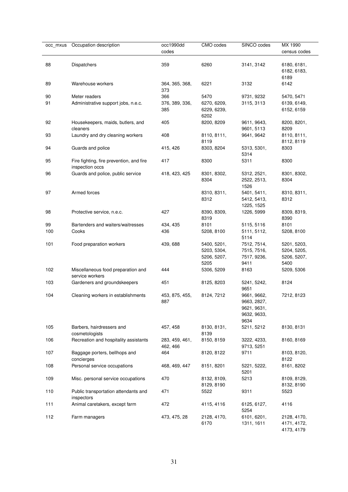| 88<br><b>Dispatchers</b><br>89<br>Warehouse workers<br>Meter readers<br>90<br>91 | Administrative support jobs, n.e.c.      | 359<br>364, 365, 368,<br>373<br>366<br>376, 389, 336,<br>385 | 6260<br>6221<br>5470<br>6270, 6209, | 3141, 3142<br>3132<br>9731, 9232                                 | 6180, 6181,<br>6182, 6183,<br>6189<br>6142 |
|----------------------------------------------------------------------------------|------------------------------------------|--------------------------------------------------------------|-------------------------------------|------------------------------------------------------------------|--------------------------------------------|
|                                                                                  |                                          |                                                              |                                     |                                                                  |                                            |
|                                                                                  |                                          |                                                              |                                     |                                                                  |                                            |
|                                                                                  |                                          |                                                              |                                     |                                                                  | 5470, 5471                                 |
|                                                                                  |                                          |                                                              |                                     | 3115, 3113                                                       | 6139, 6149,                                |
|                                                                                  |                                          |                                                              | 6229, 6239,<br>6202                 |                                                                  | 6152, 6159                                 |
| 92<br>Housekeepers, maids, butlers, and<br>cleaners                              |                                          | 405                                                          | 8200, 8209                          | 9611, 9643,<br>9601, 5113                                        | 8200, 8201,<br>8209                        |
| 93                                                                               | Laundry and dry cleaning workers         | 408                                                          | 8110, 8111,<br>8119                 | 9641, 9642                                                       | 8110, 8111,<br>8112, 8119                  |
| 94<br>Guards and police                                                          |                                          | 415, 426                                                     | 8303, 8204                          | 5313, 5301,<br>5314                                              | 8303                                       |
| 95<br>inspection occs                                                            | Fire fighting, fire prevention, and fire | 417                                                          | 8300                                | 5311                                                             | 8300                                       |
| 96                                                                               | Guards and police, public service        | 418, 423, 425                                                | 8301, 8302,<br>8304                 | 5312, 2521,<br>2522, 2513,<br>1526                               | 8301, 8302,<br>8304                        |
| Armed forces<br>97                                                               |                                          |                                                              | 8310, 8311,                         | 5401, 5411,                                                      | 8310, 8311,                                |
|                                                                                  |                                          |                                                              | 8312                                | 5412, 5413,                                                      | 8312                                       |
|                                                                                  |                                          |                                                              |                                     | 1225, 1525                                                       |                                            |
| 98<br>Protective service, n.e.c.                                                 |                                          | 427                                                          | 8390, 8309,<br>8319                 | 1226, 5999                                                       | 8309, 8319,<br>8390                        |
| 99                                                                               | Bartenders and waiters/waitresses        | 434, 435                                                     | 8101                                | 5115, 5116                                                       | 8101                                       |
| 100<br>Cooks                                                                     |                                          | 436                                                          | 5208, 8100                          | 5111, 5112,<br>5114                                              | 5208, 8100                                 |
| 101<br>Food preparation workers                                                  |                                          | 439, 688                                                     | 5400, 5201,                         | 7512, 7514,                                                      | 5201, 5203,                                |
|                                                                                  |                                          |                                                              | 5203, 5304,                         | 7515, 7516,                                                      | 5204, 5205,                                |
|                                                                                  |                                          |                                                              | 5206, 5207,                         | 7517, 9236,                                                      | 5206, 5207,                                |
|                                                                                  |                                          |                                                              | 5205                                | 9411                                                             | 5400                                       |
| 102<br>service workers                                                           | Miscellaneous food preparation and       | 444                                                          | 5306, 5209                          | 8163                                                             | 5209, 5306                                 |
| 103                                                                              | Gardeners and groundskeepers             | 451                                                          | 8125, 8203                          | 5241, 5242,<br>9651                                              | 8124                                       |
| 104                                                                              | Cleaning workers in establishments       | 453, 875, 455,<br>887                                        | 8124, 7212                          | 9661, 9662,<br>9663, 2827,<br>9621, 9631,<br>9632, 9633,<br>9634 | 7212, 8123                                 |
| 105<br>Barbers, hairdressers and<br>cosmetologists                               |                                          | 457, 458                                                     | 8130, 8131,<br>8139                 | 5211, 5212                                                       | 8130, 8131                                 |
| 106                                                                              | Recreation and hospitality assistants    | 283, 459, 461,<br>462, 466                                   | 8150, 8159                          | 3222, 4233,<br>9713, 5251                                        | 8160, 8169                                 |
| 107<br>concierges                                                                | Baggage porters, bellhops and            | 464                                                          | 8120, 8122                          | 9711                                                             | 8103, 8120,<br>8122                        |
| 108                                                                              | Personal service occupations             | 468, 469, 447                                                | 8151, 8201                          | 5221, 5222,<br>5201                                              | 8161, 8202                                 |
| 109                                                                              | Misc. personal service occupations       | 470                                                          | 8132, 8109,<br>8129, 8190           | 5213                                                             | 8109, 8129,<br>8132, 8190                  |
| 110<br>inspectors                                                                | Public transportation attendants and     | 471                                                          | 5522                                | 9311                                                             | 5523                                       |
| 111                                                                              | Animal caretakers, except farm           | 472                                                          | 4115, 4116                          | 6125, 6127,<br>5254                                              | 4116                                       |
| 112<br>Farm managers                                                             |                                          | 473, 475, 28                                                 | 2128, 4170,<br>6170                 | 6101, 6201,<br>1311, 1611                                        | 2128, 4170,<br>4171, 4172,<br>4173, 4179   |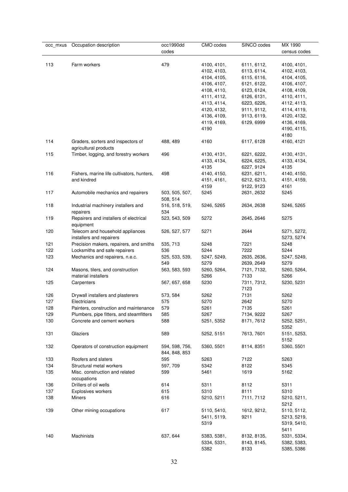| occ_mxus | Occupation description                                       | occ1990dd<br>codes              | CMO codes   | SINCO codes | MX 1990<br>census codes   |
|----------|--------------------------------------------------------------|---------------------------------|-------------|-------------|---------------------------|
|          |                                                              |                                 |             |             |                           |
| 113      | Farm workers                                                 | 479                             | 4100, 4101, | 6111, 6112, | 4100, 4101,               |
|          |                                                              |                                 | 4102, 4103, | 6113, 6114, | 4102, 4103,               |
|          |                                                              |                                 | 4104, 4105, | 6115, 6116, | 4104, 4105,               |
|          |                                                              |                                 | 4106, 4107, | 6121, 6122, | 4106, 4107,               |
|          |                                                              |                                 | 4108, 4110, | 6123, 6124, | 4108, 4109,               |
|          |                                                              |                                 | 4111, 4112, | 6126, 6131, | 4110, 4111,               |
|          |                                                              |                                 | 4113, 4114, | 6223, 6226, | 4112, 4113,               |
|          |                                                              |                                 | 4120, 4132, | 9111, 9112, | 4114, 4119,               |
|          |                                                              |                                 | 4136, 4109, | 9113, 6119, | 4120, 4132,               |
|          |                                                              |                                 | 4119, 4169, | 6129, 6999  | 4136, 4169,               |
|          |                                                              |                                 | 4190        |             | 4190, 4115,               |
|          |                                                              |                                 |             |             | 4180                      |
| 114      | Graders, sorters and inspectors of<br>agricultural products  | 488, 489                        | 4160        | 6117, 6128  | 4160, 4121                |
| 115      | Timber, logging, and forestry workers                        | 496                             | 4130, 4131, | 6221, 6222, | 4130, 4131,               |
|          |                                                              |                                 | 4133, 4134, | 6224, 6225, | 4133, 4134,               |
|          |                                                              |                                 | 4135        | 6227, 9124  | 4135                      |
| 116      | Fishers, marine life cultivators, hunters,                   | 498                             | 4140, 4150, | 6231, 6211, | 4140, 4150,               |
|          | and kindred                                                  |                                 | 4151, 4161, | 6212, 6213, | 4151, 4159,               |
|          |                                                              |                                 | 4159        | 9122, 9123  | 4161                      |
| 117      | Automobile mechanics and repairers                           | 503, 505, 507,<br>508, 514      | 5245        | 2631, 2632  | 5245                      |
| 118      | Industrial machinery installers and                          | 516, 518, 519,                  | 5246, 5265  | 2634, 2638  | 5246, 5265                |
|          | repairers                                                    | 534                             |             |             |                           |
| 119      | Repairers and installers of electrical<br>equipment          | 523, 543, 509                   | 5272        | 2645, 2646  | 5275                      |
| 120      | Telecom and household appliances<br>installers and repairers | 526, 527, 577                   | 5271        | 2644        | 5271, 5272,<br>5273, 5274 |
| 121      | Precision makers, repairers, and smiths                      | 535, 713                        | 5248        | 7221        | 5248                      |
| 122      | Locksmiths and safe repairers                                | 536                             | 5244        | 7222        | 5244                      |
| 123      | Mechanics and repairers, n.e.c.                              | 525, 533, 539,                  | 5247, 5249, | 2635, 2636, | 5247, 5249,               |
|          |                                                              | 549                             | 5279        | 2639, 2649  | 5279                      |
| 124      | Masons, tilers, and construction                             | 563, 583, 593                   | 5260, 5264, | 7121, 7132, | 5260, 5264,               |
|          | material installers                                          |                                 | 5266        | 7133        | 5266                      |
| 125      | Carpenters                                                   | 567, 657, 658                   | 5230        | 7311, 7312, | 5230, 5231                |
|          |                                                              |                                 |             | 7123        |                           |
| 126      | Drywall installers and plasterers                            | 573, 584                        | 5262        | 7131        | 5262                      |
| 127      | Electricians                                                 | 575                             | 5270        | 2642        | 5270                      |
| 128      | Painters, construction and maintenance                       | 579                             | 5261        | 7135        | 5261                      |
| 129      | Plumbers, pipe fitters, and steamfitters                     | 585                             | 5267        | 7134, 9222  | 5267                      |
| 130      | Concrete and cement workers                                  | 588                             | 5251, 5352  | 8171, 7612  | 5252, 5251,               |
|          |                                                              |                                 |             |             | 5352                      |
| 131      | Glaziers                                                     | 589                             | 5252, 5151  | 7613, 7601  | 5151, 5253,               |
|          |                                                              |                                 |             |             | 5152                      |
| 132      | Operators of construction equipment                          | 594, 598, 756,<br>844, 848, 853 | 5360, 5501  | 8114, 8351  | 5360, 5501                |
| 133      | Roofers and slaters                                          | 595                             | 5263        | 7122        | 5263                      |
| 134      | Structural metal workers                                     | 597, 709                        | 5342        | 8122        | 5345                      |
| 135      | Misc. construction and related<br>occupations                | 599                             | 5461        | 1619        | 5162                      |
| 136      | Drillers of oil wells                                        | 614                             | 5311        | 8112        | 5311                      |
| 137      | Explosives workers                                           | 615                             | 5310        | 8111        | 5310                      |
| 138      | Miners                                                       | 616                             | 5210, 5211  | 7111, 7112  | 5210, 5211,<br>5212       |
| 139      | Other mining occupations                                     | 617                             | 5110, 5410, | 1612, 9212, | 5110, 5112,               |
|          |                                                              |                                 | 5411, 5119, | 9211        | 5213, 5219,               |
|          |                                                              |                                 | 5319        |             | 5319, 5410,               |
|          |                                                              |                                 |             |             | 5411                      |
| 140      | Machinists                                                   | 637, 644                        | 5383, 5381, | 8132, 8135, | 5331, 5334,               |
|          |                                                              |                                 | 5334, 5331, | 8143, 8145, | 5382, 5383,               |
|          |                                                              |                                 | 5382        | 8133        | 5385, 5386                |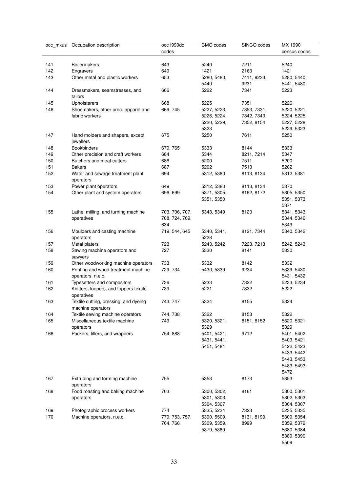| occ mxus | Occupation description                                     | occ1990dd<br>codes | CMO codes           | SINCO codes | MX 1990<br>census codes |
|----------|------------------------------------------------------------|--------------------|---------------------|-------------|-------------------------|
| 141      | <b>Boilermakers</b>                                        | 643                | 5240                | 7211        | 5240                    |
| 142      | Engravers                                                  | 649                | 1421                | 2163        | 1421                    |
| 143      | Other metal and plastic workers                            | 653                | 5280, 5480,         | 7411, 9233, | 5280, 5440,             |
|          |                                                            |                    | 5440                | 9231        | 5441, 5480              |
| 144      | Dressmakers, seamstresses, and<br>tailors                  | 666                | 5222                | 7341        | 5223                    |
| 145      | Upholsterers                                               | 668                | 5225                | 7351        | 5226                    |
| 146      | Shoemakers, other prec. apparel and                        | 669, 745           | 5227, 5223,         | 7353, 7331, | 5220, 5221,             |
|          | fabric workers                                             |                    | 5226, 5224,         | 7342, 7343, | 5224, 5225,             |
|          |                                                            |                    | 5220, 5229,         | 7352, 8154  | 5227, 5228,             |
|          |                                                            |                    | 5323                |             | 5229, 5323              |
| 147      | Hand molders and shapers, except                           | 675                | 5250                | 7611        | 5250                    |
|          | jewellers                                                  |                    |                     |             |                         |
| 148      | <b>Bookbinders</b>                                         | 679, 765           | 5333                | 8144        | 5333                    |
| 149      | Other precision and craft workers                          | 684                | 5344                | 8211, 7214  | 5347                    |
| 150      | Butchers and meat cutters                                  | 686                | 5200                | 7511        | 5200                    |
| 151      | <b>Bakers</b>                                              | 687                | 5202                | 7513        | 5202                    |
| 152      | Water and sewage treatment plant                           | 694                | 5312, 5380          | 8113, 8134  | 5312, 5381              |
|          | operators                                                  |                    |                     |             |                         |
| 153      | Power plant operators                                      | 649                | 5312, 5380          | 8113, 8134  | 5370                    |
| 154      | Other plant and system operators                           | 696, 699           | 5371, 5305,         | 8162, 8172  | 5305, 5350,             |
|          |                                                            |                    | 5351, 5350          |             | 5351, 5373,             |
|          |                                                            |                    |                     |             | 5371                    |
| 155      | Lathe, milling, and turning machine                        | 703, 706, 707,     | 5343, 5349          | 8123        | 5341, 5343,             |
|          | operatives                                                 | 708, 724, 769,     |                     |             | 5344, 5346,             |
|          |                                                            | 634                |                     |             | 5349                    |
| 156      | Moulders and casting machine<br>operators                  | 719, 544, 645      | 5340, 5341,<br>5228 | 8121, 7344  | 5340, 5342              |
| 157      | Metal platers                                              | 723                | 5243, 5242          | 7223, 7213  | 5242, 5243              |
| 158      | Sawing machine operators and<br>sawyers                    | 727                | 5330                | 8141        | 5330                    |
| 159      | Other woodworking machine operators                        | 733                | 5332                | 8142        | 5332                    |
| 160      | Printing and wood treatment machine                        | 729, 734           | 5430, 5339          | 9234        | 5339, 5430,             |
|          | operators, n.e.c.                                          |                    |                     |             | 5431, 5432              |
| 161      | Typesetters and compositors                                | 736                | 5233                | 7322        | 5233, 5234              |
| 162      | Knitters, loopers, and toppers textile<br>operatives       | 739                | 5221                | 7332        | 5222                    |
| 163      | Textile cutting, pressing, and dyeing<br>machine operators | 743, 747           | 5324                | 8155        | 5324                    |
| 164      | Textile sewing machine operators                           | 744, 738           | 5322                | 8153        | 5322                    |
| 165      | Miscellaneous textile machine                              | 749                | 5320, 5321,         | 8151, 8152  | 5320, 5321,             |
|          | operators                                                  |                    | 5329                |             | 5329                    |
| 166      | Packers, fillers, and wrappers                             | 754, 888           | 5401, 5421,         | 9712        | 5401, 5402,             |
|          |                                                            |                    | 5431, 5441,         |             | 5403, 5421,             |
|          |                                                            |                    | 5451, 5481          |             | 5422, 5423,             |
|          |                                                            |                    |                     |             | 5433, 5442,             |
|          |                                                            |                    |                     |             | 5443, 5453,             |
|          |                                                            |                    |                     |             | 5483, 5493,             |
|          |                                                            |                    |                     |             | 5472                    |
| 167      | Extruding and forming machine<br>operators                 | 755                | 5353                | 8173        | 5353                    |
| 168      | Food roasting and baking machine                           | 763                | 5300, 5302,         | 8161        | 5300, 5301,             |
|          | operators                                                  |                    | 5301, 5303,         |             | 5302, 5303,             |
|          |                                                            |                    | 5304, 5307          |             | 5304, 5307              |
| 169      | Photographic process workers                               | 774                | 5335, 5234          | 7323        | 5235, 5335              |
| 170      | Machine operators, n.e.c.                                  | 779, 753, 757,     | 5390, 5509,         | 8131, 8199, | 5309, 5354,             |
|          |                                                            | 764, 766           | 5309, 5359,         | 8999        | 5359, 5379,             |
|          |                                                            |                    | 5379, 5389          |             | 5380, 5384,             |
|          |                                                            |                    |                     |             | 5389, 5390,             |
|          |                                                            |                    |                     |             | 5509                    |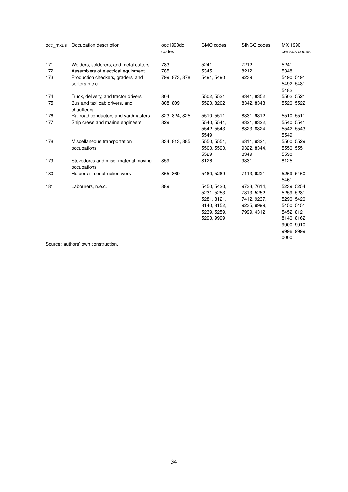| occ mxus | Occupation description                              | occ1990dd     | CMO codes   | SINCO codes | MX 1990      |
|----------|-----------------------------------------------------|---------------|-------------|-------------|--------------|
|          |                                                     | codes         |             |             | census codes |
|          |                                                     |               |             |             |              |
| 171      | Welders, solderers, and metal cutters               | 783           | 5241        | 7212        | 5241         |
| 172      | Assemblers of electrical equipment                  | 785           | 5345        | 8212        | 5348         |
| 173      | Production checkers, graders, and                   | 799, 873, 878 | 5491, 5490  | 9239        | 5490, 5491,  |
|          | sorters n.e.c.                                      |               |             |             | 5492, 5481,  |
|          |                                                     |               |             |             | 5482         |
| 174      | Truck, delivery, and tractor drivers                | 804           | 5502, 5521  | 8341, 8352  | 5502, 5521   |
| 175      | Bus and taxi cab drivers, and<br>chauffeurs         | 808, 809      | 5520, 8202  | 8342, 8343  | 5520, 5522   |
| 176      | Railroad conductors and yardmasters                 | 823, 824, 825 | 5510, 5511  | 8331, 9312  | 5510, 5511   |
| 177      | Ship crews and marine engineers                     | 829           | 5540, 5541, | 8321, 8322, | 5540, 5541,  |
|          |                                                     |               | 5542, 5543, | 8323, 8324  | 5542, 5543,  |
|          |                                                     |               | 5549        |             | 5549         |
| 178      | Miscellaneous transportation                        | 834, 813, 885 | 5550, 5551, | 6311, 9321, | 5500, 5529,  |
|          | occupations                                         |               | 5500, 5590, | 9322, 8344, | 5550, 5551,  |
|          |                                                     |               | 5529        | 8349        | 5590         |
| 179      | Stevedores and misc. material moving<br>occupations | 859           | 8126        | 9331        | 8125         |
| 180      | Helpers in construction work                        | 865, 869      | 5460, 5269  | 7113, 9221  | 5269, 5460,  |
|          |                                                     |               |             |             | 5461         |
| 181      | Labourers, n.e.c.                                   | 889           | 5450, 5420, | 9733, 7614, | 5239, 5254,  |
|          |                                                     |               | 5231, 5253, | 7313, 5252, | 5259, 5281,  |
|          |                                                     |               | 5281, 8121, | 7412, 9237, | 5290, 5420,  |
|          |                                                     |               | 8140, 8152, | 9235, 9999, | 5450, 5451,  |
|          |                                                     |               | 5239, 5259, | 7999, 4312  | 5452, 8121,  |
|          |                                                     |               | 5290, 9999  |             | 8140, 8162,  |
|          |                                                     |               |             |             | 9900, 9910,  |
|          |                                                     |               |             |             | 9996, 9999,  |
|          |                                                     |               |             |             | 0000         |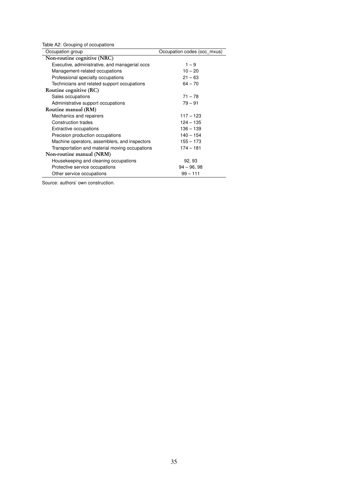<span id="page-36-0"></span>

| Table A2: Grouping of occupations<br>Occupation group | Occupation codes (occ mxus) |
|-------------------------------------------------------|-----------------------------|
| Non-routine cognitive (NRC)                           |                             |
| Executive, administrative, and managerial occs        | $1 - 9$                     |
| Management-related occupations                        | $10 - 20$                   |
| Professional specialty occupations                    | $21 - 63$                   |
| Technicians and related support occupations           | $64 - 70$                   |
| Routine cognitive (RC)                                |                             |
| Sales occupations                                     | $71 - 78$                   |
| Administrative support occupations                    | $79 - 91$                   |
| Routine manual (RM)                                   |                             |
| Mechanics and repairers                               | $117 - 123$                 |
| Construction trades                                   | $124 - 135$                 |
| <b>Extractive occupations</b>                         | $136 - 139$                 |
| Precision production occupations                      | $140 - 154$                 |
| Machine operators, assemblers, and inspectors         | $155 - 173$                 |
| Transportation and material moving occupations        | $174 - 181$                 |
| Non-routine manual (NRM)                              |                             |
| Housekeeping and cleaning occupations                 | 92, 93                      |
| Protective service occupations                        | $94 - 96, 98$               |
| Other service occupations                             | $99 - 111$                  |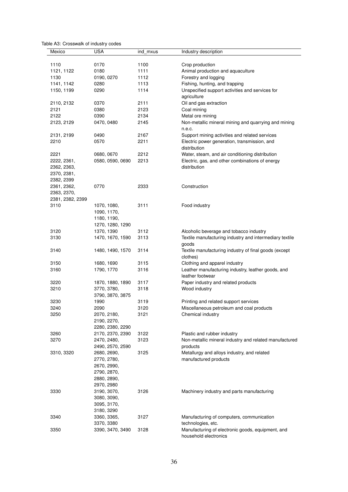<span id="page-37-0"></span>

|  | Table A3: Crosswalk of industry codes |  |  |
|--|---------------------------------------|--|--|
|--|---------------------------------------|--|--|

| Mexico                                   | <b>USA</b>                      | ind_mxus | Industry description                                                       |
|------------------------------------------|---------------------------------|----------|----------------------------------------------------------------------------|
| 1110                                     | 0170                            | 1100     | Crop production                                                            |
| 1121, 1122                               | 0180                            | 1111     | Animal production and aquaculture                                          |
| 1130                                     | 0190, 0270                      | 1112     | Forestry and logging                                                       |
| 1141, 1142                               | 0280                            | 1113     | Fishing, hunting, and trapping                                             |
| 1150, 1199                               | 0290                            | 1114     | Unspecified support activities and services for                            |
|                                          |                                 |          | agriculture                                                                |
| 2110, 2132                               | 0370                            | 2111     | Oil and gas extraction                                                     |
| 2121                                     | 0380                            | 2123     | Coal mining                                                                |
| 2122                                     | 0390                            | 2134     | Metal ore mining                                                           |
| 2123, 2129                               | 0470, 0480                      | 2145     | Non-metallic mineral mining and quarrying and mining<br>n.e.c.             |
| 2131, 2199                               | 0490                            | 2167     | Support mining activities and related services                             |
| 2210                                     | 0570                            | 2211     | Electric power generation, transmission, and<br>distribution               |
| 2221                                     | 0680, 0670                      | 2212     | Water, steam, and air conditioning distribution                            |
| 2222, 2361,                              | 0580, 0590, 0690                | 2213     | Electric, gas, and other combinations of energy                            |
| 2362, 2363,<br>2370, 2381,<br>2382, 2399 |                                 |          | distribution                                                               |
| 2361, 2362,                              | 0770                            | 2333     | Construction                                                               |
| 2363, 2370,                              |                                 |          |                                                                            |
| 2381, 2382, 2399                         |                                 |          |                                                                            |
| 3110                                     | 1070, 1080,                     | 3111     | Food industry                                                              |
|                                          | 1090, 1170,                     |          |                                                                            |
|                                          | 1180, 1190,                     |          |                                                                            |
|                                          | 1270, 1280, 1290                |          |                                                                            |
| 3120                                     | 1370, 1390                      | 3112     | Alcoholic beverage and tobacco industry                                    |
| 3130                                     | 1470, 1670, 1590                | 3113     | Textile manufacturing industry and intermediary textile<br>goods           |
| 3140                                     | 1480, 1490, 1570                | 3114     | Textile manufacturing industry of final goods (except<br>clothes)          |
| 3150                                     | 1680, 1690                      | 3115     | Clothing and apparel industry                                              |
| 3160                                     | 1790, 1770                      | 3116     | Leather manufacturing industry, leather goods, and<br>leather footwear     |
| 3220                                     | 1870, 1880, 1890                | 3117     | Paper industry and related products                                        |
| 3210                                     | 3770, 3780,<br>3790, 3870, 3875 | 3118     | Wood industry                                                              |
| 3230                                     | 1990                            | 3119     | Printing and related support services                                      |
| 3240                                     | 2090                            | 3120     | Miscellaneous petroleum and coal products                                  |
| 3250                                     | 2070, 2180,                     | 3121     | Chemical industry                                                          |
|                                          | 2190, 2270,                     |          |                                                                            |
|                                          | 2280, 2380, 2290                |          |                                                                            |
| 3260                                     | 2170, 2370, 2390                | 3122     | Plastic and rubber industry                                                |
| 3270                                     | 2470, 2480,                     | 3123     | Non-metallic mineral industry and related manufactured                     |
|                                          | 2490, 2570, 2590                |          | products                                                                   |
| 3310, 3320                               | 2680, 2690,                     | 3125     | Metallurgy and alloys industry, and related                                |
|                                          | 2770, 2780,                     |          | manufactured products                                                      |
|                                          | 2670, 2990,                     |          |                                                                            |
|                                          | 2790, 2870,                     |          |                                                                            |
|                                          | 2880, 2890,                     |          |                                                                            |
|                                          | 2970, 2980                      |          |                                                                            |
| 3330                                     | 3190, 3070,                     | 3126     | Machinery industry and parts manufacturing                                 |
|                                          | 3080, 3090,                     |          |                                                                            |
|                                          | 3095, 3170,                     |          |                                                                            |
|                                          | 3180, 3290                      |          |                                                                            |
| 3340                                     | 3360, 3365,                     | 3127     | Manufacturing of computers, communication                                  |
|                                          | 3370, 3380                      |          | technologies, etc.                                                         |
| 3350                                     | 3390, 3470, 3490                | 3128     | Manufacturing of electronic goods, equipment, and<br>household electronics |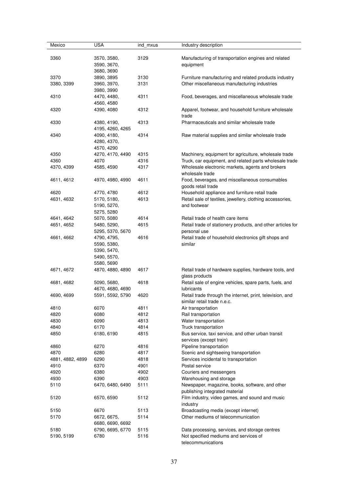| Mexico           | <b>USA</b>       | ind mxus | Industry description                                        |
|------------------|------------------|----------|-------------------------------------------------------------|
|                  |                  |          |                                                             |
| 3360             | 3570, 3580,      | 3129     | Manufacturing of transportation engines and related         |
|                  | 3590, 3670,      |          | equipment                                                   |
|                  | 3680, 3690       |          |                                                             |
| 3370             | 3890, 3895       | 3130     | Furniture manufacturing and related products industry       |
| 3380, 3399       | 3960, 3970,      | 3131     | Other miscellaneous manufacturing industries                |
|                  | 3980, 3990       |          |                                                             |
|                  |                  |          |                                                             |
| 4310             | 4470, 4480,      | 4311     | Food, beverages, and miscellaneous wholesale trade          |
|                  | 4560, 4580       |          |                                                             |
| 4320             | 4390, 4080       | 4312     | Apparel, footwear, and household furniture wholesale        |
|                  |                  |          | trade                                                       |
| 4330             | 4380, 4190,      | 4313     | Pharmaceuticals and similar wholesale trade                 |
|                  | 4195, 4260, 4265 |          |                                                             |
| 4340             | 4090, 4180,      | 4314     | Raw material supplies and similar wholesale trade           |
|                  | 4280, 4370,      |          |                                                             |
|                  | 4570, 4290       |          |                                                             |
| 4350             | 4270, 4170, 4490 | 4315     | Machinery, equipment for agriculture, wholesale trade       |
| 4360             | 4070             | 4316     | Truck, car equipment, and related parts wholesale trade     |
| 4370, 4399       | 4585, 4590       | 4317     | Wholesale electronic markets, agents and brokers            |
|                  |                  |          | wholesale trade                                             |
| 4611, 4612       | 4970, 4980, 4990 | 4611     | Food, beverages, and miscellaneous consumables              |
|                  |                  |          | goods retail trade                                          |
| 4620             | 4770, 4780       | 4612     | Household appliance and furniture retail trade              |
| 4631, 4632       | 5170, 5180,      | 4613     | Retail sale of textiles, jewellery, clothing accessories,   |
|                  | 5190, 5270,      |          | and footwear                                                |
|                  | 5275, 5280       |          |                                                             |
| 4641, 4642       | 5070, 5080       | 4614     | Retail trade of health care items                           |
|                  |                  |          |                                                             |
| 4651, 4652       | 5480, 5290,      | 4615     | Retail trade of stationery products, and other articles for |
|                  | 5295, 5370, 5670 |          | personal use                                                |
| 4661, 4662       | 4790, 4795,      | 4616     | Retail trade of household electronics gift shops and        |
|                  | 5590, 5380,      |          | similar                                                     |
|                  | 5390, 5470,      |          |                                                             |
|                  | 5490, 5570,      |          |                                                             |
|                  | 5580, 5690       |          |                                                             |
| 4671, 4672       | 4870, 4880, 4890 | 4617     | Retail trade of hardware supplies, hardware tools, and      |
|                  |                  |          | glass products                                              |
| 4681, 4682       | 5090, 5680,      | 4618     | Retail sale of engine vehicles, spare parts, fuels, and     |
|                  | 4670, 4680, 4690 |          | lubricants                                                  |
| 4690, 4699       | 5591, 5592, 5790 | 4620     | Retail trade through the internet, print, television, and   |
|                  |                  |          | similar retail trade n.e.c.                                 |
| 4810             | 6070             | 4811     | Air transportation                                          |
| 4820             | 6080             | 4812     | Rail transportation                                         |
| 4830             | 6090             | 4813     | Water transportation                                        |
| 4840             | 6170             | 4814     | Truck transportation                                        |
| 4850             | 6180, 6190       | 4815     | Bus service, taxi service, and other urban transit          |
|                  |                  |          | services (except train)                                     |
| 4860             | 6270             | 4816     | Pipeline transportation                                     |
| 4870             | 6280             | 4817     | Scenic and sightseeing transportation                       |
| 4881, 4882, 4899 | 6290             | 4818     | Services incidental to transportation                       |
| 4910             | 6370             | 4901     | Postal service                                              |
| 4920             | 6380             | 4902     | Couriers and messengers                                     |
|                  |                  |          |                                                             |
| 4930             | 6390             | 4903     | Warehousing and storage                                     |
| 5110             | 6470, 6480, 6490 | 5111     | Newspaper, magazine, books, software, and other             |
|                  |                  |          | publishing integrated material                              |
| 5120             | 6570, 6590       | 5112     | Film industry, video games, and sound and music             |
|                  |                  |          | industry                                                    |
| 5150             | 6670             | 5113     | Broadcasting media (except internet)                        |
| 5170             | 6672, 6675,      | 5114     | Other mediums of telecommunication                          |
|                  | 6680, 6690, 6692 |          |                                                             |
| 5180             | 6790, 6695, 6770 | 5115     | Data processing, services, and storage centres              |
| 5190, 5199       | 6780             | 5116     | Not specified mediums and services of                       |
|                  |                  |          | telecommunications                                          |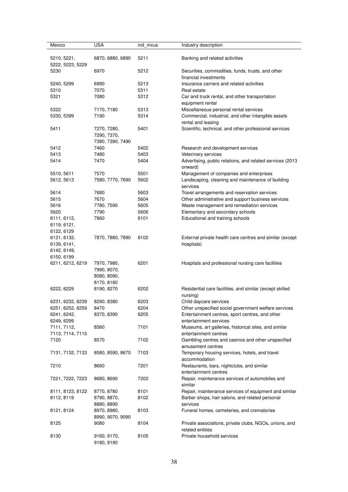| Mexico                          | <b>USA</b>                      | ind_mxus | Industry description                                                       |
|---------------------------------|---------------------------------|----------|----------------------------------------------------------------------------|
| 5210, 5221,<br>5222, 5223, 5229 | 6870, 6880, 6890                | 5211     | Banking and related activities                                             |
| 5230                            | 6970                            | 5212     | Securities, commodities, funds, trusts, and other<br>financial investments |
|                                 |                                 |          |                                                                            |
| 5240, 5299                      | 6990                            | 5213     | Insurance carriers and related activities                                  |
| 5310                            | 7070                            | 5311     | Real estate                                                                |
| 5321                            | 7080                            | 5312     | Car and truck rental, and other transportation<br>equipment rental         |
| 5322                            | 7170, 7180                      | 5313     | Miscellaneous personal rental services                                     |
| 5330, 5399                      | 7190                            | 5314     | Commercial, industrial, and other intangible assets<br>rental and leasing  |
| 5411                            | 7270, 7280,                     | 5401     | Scientific, technical, and other professional services                     |
|                                 | 7290, 7370,                     |          |                                                                            |
|                                 | 7380, 7390, 7490                |          |                                                                            |
| 5412                            | 7460                            | 5402     | Research and development services                                          |
| 5413                            | 7480                            | 5403     | Veterinary services                                                        |
| 5414                            | 7470                            | 5404     | Advertising, public relations, and related services (2013                  |
|                                 |                                 |          | onward)                                                                    |
| 5510, 5611                      | 7570                            | 5501     | Management of companies and enterprises                                    |
| 5612, 5613                      | 7580, 7770, 7690                | 5602     | Landscaping, cleaning and maintenance of building<br>services              |
| 5614                            | 7680                            | 5603     | Travel arrangements and reservation services                               |
| 5615                            | 7670                            | 5604     | Other administrative and support business services                         |
| 5616                            | 7780, 7590                      | 5605     | Waste management and remediation services                                  |
| 5620                            | 7790                            | 5606     | Elementary and secondary schools                                           |
| 6111, 6112,                     | 7860                            | 6101     | Educational and training schools                                           |
| 6119, 6121,                     |                                 |          |                                                                            |
| 6122, 6129                      |                                 |          |                                                                            |
| 6131, 6132,                     | 7870, 7880, 7890                | 6102     | External private health care centres and similar (except                   |
| 6139, 6141,                     |                                 |          | hospitals)                                                                 |
| 6142, 6149,                     |                                 |          |                                                                            |
| 6150, 6199                      |                                 |          |                                                                            |
| 6211, 6212, 6219                | 7970, 7980,                     | 6201     | Hospitals and professional nursing care facilities                         |
|                                 | 7990, 8070,                     |          |                                                                            |
|                                 | 8080, 8090,                     |          |                                                                            |
|                                 | 8170, 8180                      |          |                                                                            |
| 6222, 6229                      | 8190, 8270                      | 6202     | Residential care facilities, and similar (except skilled<br>nursing)       |
| 6231, 6232, 6239                | 8290, 8380                      | 6203     | Child daycare services                                                     |
| 6251, 6252, 6259                | 8470                            | 6204     | Other unspecified social government welfare services                       |
| 6241, 6242,                     | 8370, 8390                      | 6205     | Entertainment centres, sport centres, and other                            |
| 6249, 6299                      |                                 |          | entertainment services                                                     |
| 7111, 7112,                     | 8560                            | 7101     | Museums, art galleries, historical sites, and similar                      |
| 7113, 7114, 7115                |                                 |          | entertainment centres                                                      |
| 7120                            | 8570                            | 7102     | Gambling centres and casinos and other unspecified<br>amusement centres    |
| 7131, 7132, 7133                | 8580, 8590, 8670                | 7103     | Temporary housing services, hotels, and travel                             |
| 7210                            | 8660                            | 7201     | accommodation<br>Restaurants, bars, nightclubs, and similar                |
| 7221, 7222, 7223                | 8680, 8690                      | 7202     | entertainment centres<br>Repair, maintenance services of automobiles and   |
|                                 |                                 |          | similar                                                                    |
| 8111, 8123, 8122                | 8770, 8780                      | 8101     | Repair, maintenance services of equipment and similar                      |
| 8112, 8119                      | 8790, 8870,<br>8880, 8890       | 8102     | Barber shops, hair salons, and related personal<br>services                |
|                                 |                                 | 8103     | Funeral homes, cemeteries, and crematories                                 |
| 8121, 8124                      | 8970, 8980,<br>8990, 9070, 9090 |          |                                                                            |
| 8125                            | 9080                            | 8104     | Private associations, private clubs, NGOs, unions, and<br>related entities |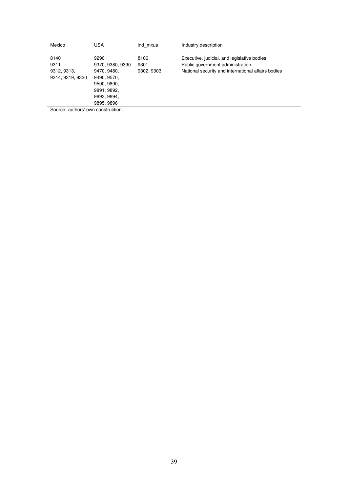| Mexico           | USA              | ind mxus   | Industry description                               |
|------------------|------------------|------------|----------------------------------------------------|
| 8140             | 9290             | 8106       | Executive, judicial, and legislative bodies        |
| 9311             | 9370, 9380, 9390 | 9301       | Public government administration                   |
| 9312, 9313,      | 9470, 9480,      | 9302, 9303 | National security and international affairs bodies |
| 9314, 9319, 9320 | 9490, 9570,      |            |                                                    |
|                  | 9590, 9890,      |            |                                                    |
|                  | 9891, 9892,      |            |                                                    |
|                  | 9893, 9894,      |            |                                                    |
|                  | 9895, 9896       |            |                                                    |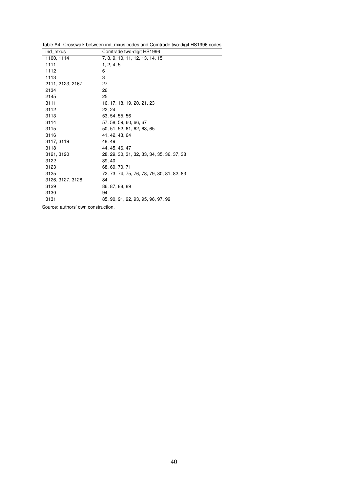<span id="page-41-0"></span>

| Table A4: Crosswalk between ind_mxus codes and Comtrade two-digit HS1996 codes |  |  |
|--------------------------------------------------------------------------------|--|--|
|                                                                                |  |  |

| ind mxus         | Comtrade two-digit HS1996                  |
|------------------|--------------------------------------------|
| 1100, 1114       | 7, 8, 9, 10, 11, 12, 13, 14, 15            |
| 1111             | 1, 2, 4, 5                                 |
| 1112             | 6                                          |
| 1113             | 3                                          |
| 2111, 2123, 2167 | 27                                         |
| 2134             | 26                                         |
| 2145             | 25                                         |
| 3111             | 16, 17, 18, 19, 20, 21, 23                 |
| 3112             | 22, 24                                     |
| 3113             | 53, 54, 55, 56                             |
| 3114             | 57, 58, 59, 60, 66, 67                     |
| 3115             | 50, 51, 52, 61, 62, 63, 65                 |
| 3116             | 41, 42, 43, 64                             |
| 3117, 3119       | 48, 49                                     |
| 3118             | 44, 45, 46, 47                             |
| 3121, 3120       | 28, 29, 30, 31, 32, 33, 34, 35, 36, 37, 38 |
| 3122             | 39.40                                      |
| 3123             | 68, 69, 70, 71                             |
| 3125             | 72, 73, 74, 75, 76, 78, 79, 80, 81, 82, 83 |
| 3126, 3127, 3128 | 84                                         |
| 3129             | 86, 87, 88, 89                             |
| 3130             | 94                                         |
| 3131             | 85, 90, 91, 92, 93, 95, 96, 97, 99         |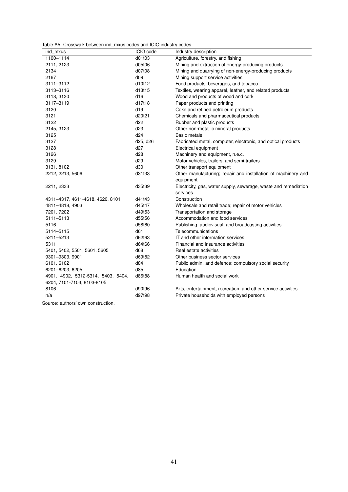<span id="page-42-0"></span>

|  | Table A5: Crosswalk between ind mxus codes and ICIO industry codes |  |  |  |  |
|--|--------------------------------------------------------------------|--|--|--|--|
|--|--------------------------------------------------------------------|--|--|--|--|

| ind mxus                           | ICIO code | Industry description                                            |
|------------------------------------|-----------|-----------------------------------------------------------------|
| 1100-1114                          | d01t03    | Agriculture, forestry, and fishing                              |
| 2111, 2123                         | d05t06    | Mining and extraction of energy-producing products              |
| 2134                               | d07t08    | Mining and quarrying of non-energy-producing products           |
| 2167                               | d09       | Mining support service activities                               |
| 3111-3112                          | d10t12    | Food products, beverages, and tobacco                           |
| 3113-3116                          | d13t15    | Textiles, wearing apparel, leather, and related products        |
| 3118, 3130                         | d16       | Wood and products of wood and cork                              |
| 3117-3119                          | d17t18    | Paper products and printing                                     |
| 3120                               | d19       | Coke and refined petroleum products                             |
| 3121                               | d20t21    | Chemicals and pharmaceutical products                           |
| 3122                               | d22       | Rubber and plastic products                                     |
| 2145, 3123                         | d23       | Other non-metallic mineral products                             |
| 3125                               | d24       | <b>Basic metals</b>                                             |
| 3127                               | d25, d26  | Fabricated metal, computer, electronic, and optical products    |
| 3128                               | d27       | Electrical equipment                                            |
| 3126                               | d28       | Machinery and equipment, n.e.c.                                 |
| 3129                               | d29       | Motor vehicles, trailers, and semi-trailers                     |
| 3131, 8102                         | d30       | Other transport equipment                                       |
| 2212, 2213, 5606                   | d31t33    | Other manufacturing; repair and installation of machinery and   |
|                                    |           | equipment                                                       |
| 2211, 2333                         | d35t39    | Electricity, gas, water supply, sewerage, waste and remediation |
|                                    |           | services                                                        |
| 4311-4317, 4611-4618, 4620, 8101   | d41t43    | Construction                                                    |
| 4811-4818, 4903                    | d45t47    | Wholesale and retail trade; repair of motor vehicles            |
| 7201, 7202                         | d49t53    | Transportation and storage                                      |
| 5111-5113                          | d55t56    | Accommodation and food services                                 |
| 5116                               | d58t60    | Publishing, audiovisual, and broadcasting activities            |
| 5114-5115                          | d61       | Telecommunications                                              |
| 5211-5213                          | d62t63    | IT and other information services                               |
| 5311                               | d64t66    | Financial and insurance activities                              |
| 5401, 5402, 5501, 5601, 5605       | d68       | Real estate activities                                          |
| 9301-9303, 9901                    | d69t82    | Other business sector services                                  |
| 6101, 6102                         | d84       | Public admin. and defence; compulsory social security           |
| 6201-6203, 6205                    | d85       | Education                                                       |
| 4901, 4902, 5312-5314, 5403, 5404, | d86t88    | Human health and social work                                    |
| 6204, 7101-7103, 8103-8105         |           |                                                                 |
| 8106                               | d90t96    | Arts, entertainment, recreation, and other service activities   |
| n/a                                | d97t98    | Private households with employed persons                        |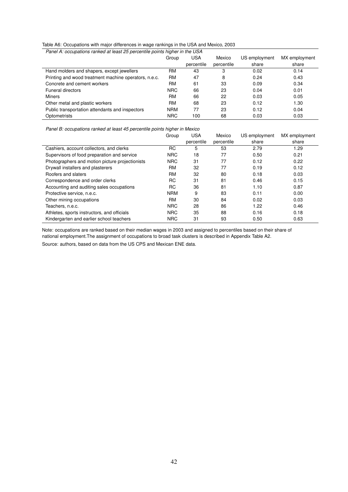#### <span id="page-43-0"></span>Table A6: Occupations with major differences in wage rankings in the USA and Mexico, 2003

| Panel A: occupations ranked at least 25 percentile points higher in the USA |            |            |            |               |               |  |  |
|-----------------------------------------------------------------------------|------------|------------|------------|---------------|---------------|--|--|
|                                                                             | Group      | USA        | Mexico     | US employment | MX employment |  |  |
|                                                                             |            | percentile | percentile | share         | share         |  |  |
| Hand molders and shapers, except jewellers                                  | RM         | 43         | 3          | 0.02          | 0.14          |  |  |
| Printing and wood treatment machine operators, n.e.c.                       | <b>RM</b>  | 47         | 8          | 0.24          | 0.43          |  |  |
| Concrete and cement workers                                                 | RM         | 61         | 33         | 0.09          | 0.34          |  |  |
| <b>Funeral directors</b>                                                    | <b>NRC</b> | 66         | 23         | 0.04          | 0.01          |  |  |
| Miners                                                                      | RM         | 66         | 22         | 0.03          | 0.05          |  |  |
| Other metal and plastic workers                                             | RM         | 68         | 23         | 0.12          | 1.30          |  |  |
| Public transportation attendants and inspectors                             | <b>NRM</b> | 77         | 23         | 0.12          | 0.04          |  |  |
| Optometrists                                                                | <b>NRC</b> | 100        | 68         | 0.03          | 0.03          |  |  |

*Panel B: occupations ranked at least 45 percentile points higher in Mexico*

|                                                 | Group      | <b>USA</b> | Mexico     | US employment | MX employment |
|-------------------------------------------------|------------|------------|------------|---------------|---------------|
|                                                 |            | percentile | percentile | share         | share         |
| Cashiers, account collectors, and clerks        | RC         | 5          | 53         | 2.79          | 1.29          |
| Supervisors of food preparation and service     | <b>NRC</b> | 18         | 77         | 0.50          | 0.21          |
| Photographers and motion picture projectionists | <b>NRC</b> | 31         | 77         | 0.12          | 0.22          |
| Drywall installers and plasterers               | RM         | 32         | 77         | 0.19          | 0.12          |
| Roofers and slaters                             | RM         | 32         | 80         | 0.18          | 0.03          |
| Correspondence and order clerks                 | RC         | 31         | 81         | 0.46          | 0.15          |
| Accounting and auditing sales occupations       | RC         | 36         | 81         | 1.10          | 0.87          |
| Protective service, n.e.c.                      | <b>NRM</b> | 9          | 83         | 0.11          | 0.00          |
| Other mining occupations                        | RM         | 30         | 84         | 0.02          | 0.03          |
| Teachers, n.e.c.                                | <b>NRC</b> | 28         | 86         | 1.22          | 0.46          |
| Athletes, sports instructors, and officials     | <b>NRC</b> | 35         | 88         | 0.16          | 0.18          |
| Kindergarten and earlier school teachers        | <b>NRC</b> | 31         | 93         | 0.50          | 0.63          |

Note: occupations are ranked based on their median wages in 2003 and assigned to percentiles based on their share of national employment.The assignment of occupations to broad task clusters is described in Appendix Table [A2.](#page-36-0)

Source: authors, based on data from the US CPS and Mexican ENE data.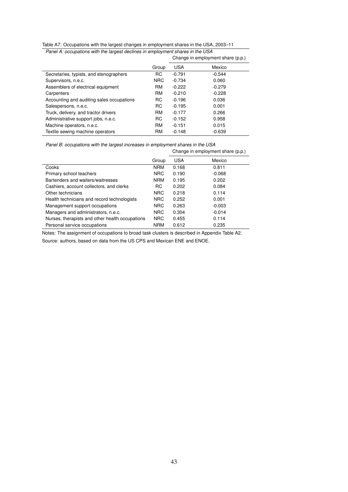<span id="page-44-0"></span>

| Table A7: Occupations with the largest changes in employment shares in the USA, 2003–11 |  |
|-----------------------------------------------------------------------------------------|--|
| Panel A: occupations with the largest declines in employment shares in the USA          |  |

|  | ations with the largest declines in employment shares in the USA |  |  |                              |  |
|--|------------------------------------------------------------------|--|--|------------------------------|--|
|  |                                                                  |  |  | Chango in amployment chara ( |  |

|                                           |            |            | Change in employment share (p.p.) |
|-------------------------------------------|------------|------------|-----------------------------------|
|                                           | Group      | <b>USA</b> | Mexico                            |
| Secretaries, typists, and stenographers   | RC         | $-0.791$   | $-0.544$                          |
| Supervisors, n.e.c.                       | <b>NRC</b> | $-0.734$   | 0.060                             |
| Assemblers of electrical equipment        | RM         | $-0.222$   | $-0.279$                          |
| Carpenters                                | RM         | $-0.210$   | $-0.228$                          |
| Accounting and auditing sales occupations | RC.        | $-0.196$   | 0.036                             |
| Salespersons, n.e.c.                      | RC.        | $-0.195$   | 0.001                             |
| Truck, delivery, and tractor drivers      | RM         | $-0.177$   | 0.266                             |
| Administrative support jobs, n.e.c.       | RC.        | $-0.152$   | 0.958                             |
| Machine operators, n.e.c.                 | <b>RM</b>  | $-0.151$   | 0.015                             |
| Textile sewing machine operators          | <b>RM</b>  | $-0.148$   | $-0.639$                          |

*Panel B: occupations with the largest increases in employment shares in the USA* Change in employment share (p.p.)

|                                                 |            | $\frac{1}{2}$ |          |  |
|-------------------------------------------------|------------|---------------|----------|--|
|                                                 | Group      | <b>USA</b>    | Mexico   |  |
| Cooks                                           | <b>NRM</b> | 0.168         | 0.811    |  |
| Primary school teachers                         | <b>NRC</b> | 0.190         | $-0.068$ |  |
| Bartenders and waiters/waitresses               | <b>NRM</b> | 0.195         | 0.202    |  |
| Cashiers, account collectors, and clerks        | RC         | 0.202         | 0.084    |  |
| Other technicians                               | <b>NRC</b> | 0.218         | 0.114    |  |
| Health technicians and record technologists     | <b>NRC</b> | 0.252         | 0.001    |  |
| Management support occupations                  | <b>NRC</b> | 0.263         | $-0.003$ |  |
| Managers and administrators, n.e.c.             | <b>NRC</b> | 0.304         | $-0.014$ |  |
| Nurses, therapists and other health occupations | <b>NRC</b> | 0.455         | 0.114    |  |
| Personal service occupations                    | <b>NRM</b> | 0.612         | 0.235    |  |

Notes: The assignment of occupations to broad task clusters is described in Appendix Table [A2.](#page-36-0)

Source: authors, based on data from the US CPS and Mexican ENE and ENOE.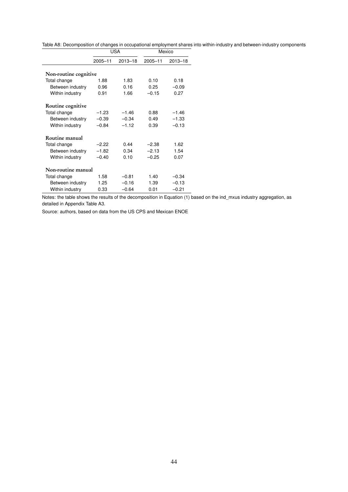<span id="page-45-0"></span>Table A8: Decomposition of changes in occupational employment shares into within-industry and between-industry components

|                       | USA         |             | Mexico      |             |
|-----------------------|-------------|-------------|-------------|-------------|
|                       | $2005 - 11$ | $2013 - 18$ | $2005 - 11$ | $2013 - 18$ |
|                       |             |             |             |             |
| Non-routine cognitive |             |             |             |             |
| Total change          | 1.88        | 1.83        | 0.10        | 0.18        |
| Between industry      | 0.96        | 0.16        | 0.25        | $-0.09$     |
| Within industry       | 0.91        | 1.66        | $-0.15$     | 0.27        |
| Routine cognitive     |             |             |             |             |
| Total change          | $-1.23$     | $-1.46$     | 0.88        | $-1.46$     |
| Between industry      | $-0.39$     | $-0.34$     | 0.49        | $-1.33$     |
| Within industry       | $-0.84$     | $-1.12$     | 0.39        | $-0.13$     |
| Routine manual        |             |             |             |             |
| Total change          | $-2.22$     | 0.44        | $-2.38$     | 1.62        |
| Between industry      | $-1.82$     | 0.34        | $-2.13$     | 1.54        |
| Within industry       | $-0.40$     | 0.10        | $-0.25$     | 0.07        |
| Non-routine manual    |             |             |             |             |
| Total change          | 1.58        | $-0.81$     | 1.40        | $-0.34$     |
| Between industry      | 1.25        | $-0.16$     | 1.39        | $-0.13$     |
| Within industry       | 0.33        | $-0.64$     | 0.01        | $-0.21$     |

Notes: the table shows the results of the decomposition in Equation [\(1\)](#page-18-1) based on the ind\_mxus industry aggregation, as detailed in Appendix Table [A3.](#page-37-0)

Source: authors, based on data from the US CPS and Mexican ENOE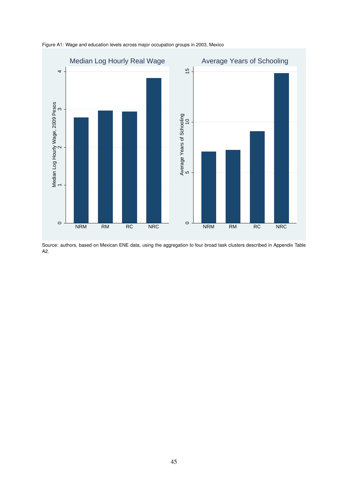

<span id="page-46-0"></span>Figure A1: Wage and education levels across major occupation groups in 2003, Mexico

Source: authors, based on Mexican ENE data, using the aggregation to four broad task clusters described in Appendix Table [A2.](#page-36-0)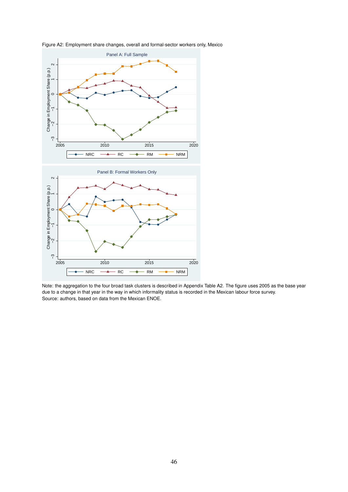

<span id="page-47-0"></span>Figure A2: Employment share changes, overall and formal-sector workers only, Mexico

Note: the aggregation to the four broad task clusters is described in Appendix Table [A2.](#page-36-0) The figure uses 2005 as the base year due to a change in that year in the way in which informality status is recorded in the Mexican labour force survey. Source: authors, based on data from the Mexican ENOE.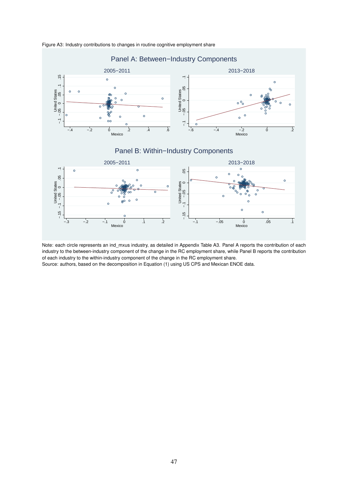

<span id="page-48-0"></span>Figure A3: Industry contributions to changes in routine cognitive employment share

Note: each circle represents an ind\_mxus industry, as detailed in Appendix Table [A3.](#page-37-0) Panel A reports the contribution of each industry to the between-industry component of the change in the RC employment share, while Panel B reports the contribution of each industry to the within-industry component of the change in the RC employment share.

Source: authors, based on the decomposition in Equation [\(1\)](#page-18-1) using US CPS and Mexican ENOE data.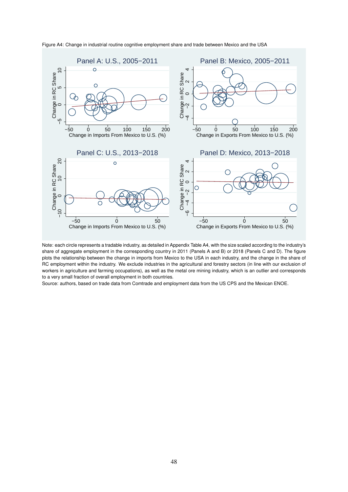

<span id="page-49-0"></span>Figure A4: Change in industrial routine cognitive employment share and trade between Mexico and the USA

Note: each circle represents a tradable industry, as detailed in Appendix Table [A4,](#page-41-0) with the size scaled according to the industry's share of aggregate employment in the corresponding country in 2011 (Panels A and B) or 2018 (Panels C and D). The figure plots the relationship between the change in imports from Mexico to the USA in each industry, and the change in the share of RC employment within the industry. We exclude industries in the agricultural and forestry sectors (in line with our exclusion of workers in agriculture and farming occupations), as well as the metal ore mining industry, which is an outlier and corresponds to a very small fraction of overall employment in both countries.

Source: authors, based on trade data from Comtrade and employment data from the US CPS and the Mexican ENOE.